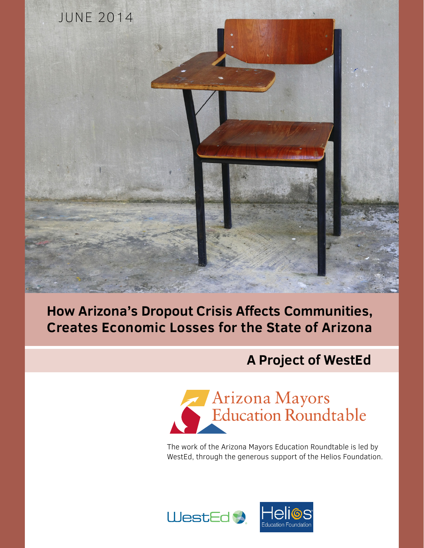

# **How Arizona's Dropout Crisis Affects Communities, Creates Economic Losses for the State of Arizona**

# **A Project of WestEd**



The work of the Arizona Mayors Education Roundtable is led by WestEd, through the generous support of the Helios Foundation.

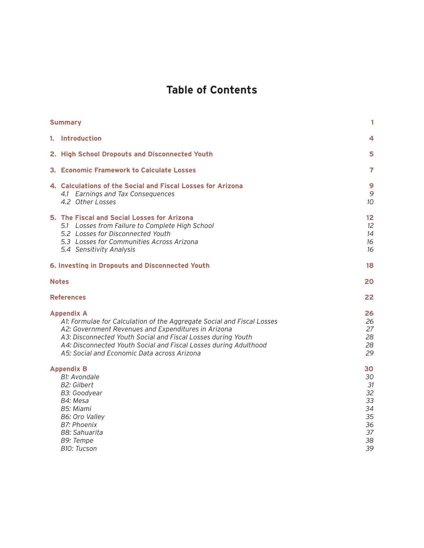# **Table of Contents**

| <b>Summary</b>                                                                                                                                                                                                                                                                                                                        | 1                                                              |
|---------------------------------------------------------------------------------------------------------------------------------------------------------------------------------------------------------------------------------------------------------------------------------------------------------------------------------------|----------------------------------------------------------------|
| 1. Introduction                                                                                                                                                                                                                                                                                                                       | 4                                                              |
| 2. High School Dropouts and Disconnected Youth                                                                                                                                                                                                                                                                                        | 5                                                              |
| 3. Economic Framework to Calculate Losses                                                                                                                                                                                                                                                                                             | 7                                                              |
| 4. Calculations of the Social and Fiscal Losses for Arizona<br>4.1 Earnings and Tax Consequences<br>4.2 Other Losses                                                                                                                                                                                                                  | 9<br>9<br>10                                                   |
| 5. The Fiscal and Social Losses for Arizona<br>5.1 Losses from Failure to Complete High School<br>5.2 Losses for Disconnected Youth<br>5.3 Losses for Communities Across Arizona<br>5.4 Sensitivity Analysis                                                                                                                          | $12 \overline{ }$<br>12<br>14<br>16<br>16                      |
| 6. Investing in Dropouts and Disconnected Youth                                                                                                                                                                                                                                                                                       | 18                                                             |
| <b>Notes</b>                                                                                                                                                                                                                                                                                                                          | 20                                                             |
| <b>References</b>                                                                                                                                                                                                                                                                                                                     | 22                                                             |
| <b>Appendix A</b><br>A1: Formulae for Calculation of the Aggregate Social and Fiscal Losses<br>A2: Government Revenues and Expenditures in Arizona<br>A3: Disconnected Youth Social and Fiscal Losses during Youth<br>A4: Disconnected Youth Social and Fiscal Losses during Adulthood<br>A5: Social and Economic Data across Arizona | 26<br>26<br>27<br>28<br>28<br>29                               |
| <b>Appendix B</b><br>B1: Avondale<br>B2: Gilbert<br>B3: Goodyear<br>B4: Mesa<br>B5: Miami<br>B6: Oro Valley<br><b>B7: Phoenix</b><br><b>B8: Sahuarita</b><br>B9: Tempe<br>B10: Tucson                                                                                                                                                 | 30<br>30<br>31<br>32<br>33<br>34<br>35<br>36<br>37<br>38<br>39 |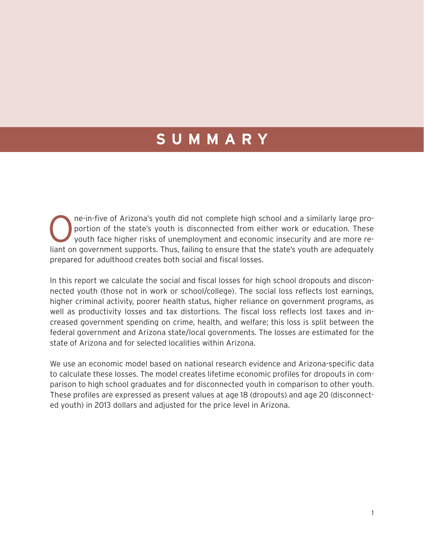# **SUMMARY**

One-in-five of Arizona's youth did not complete high school and a similarly large pro-<br>portion of the state's youth is disconnected from either work or education. These<br>youth face higher risks of unemployment and economic portion of the state's youth is disconnected from either work or education. These liant on government supports. Thus, failing to ensure that the state's youth are adequately prepared for adulthood creates both social and fiscal losses.

In this report we calculate the social and fiscal losses for high school dropouts and disconnected youth (those not in work or school/college). The social loss reflects lost earnings, higher criminal activity, poorer health status, higher reliance on government programs, as well as productivity losses and tax distortions. The fiscal loss reflects lost taxes and increased government spending on crime, health, and welfare; this loss is split between the federal government and Arizona state/local governments. The losses are estimated for the state of Arizona and for selected localities within Arizona.

We use an economic model based on national research evidence and Arizona-specific data to calculate these losses. The model creates lifetime economic profiles for dropouts in comparison to high school graduates and for disconnected youth in comparison to other youth. These profiles are expressed as present values at age 18 (dropouts) and age 20 (disconnected youth) in 2013 dollars and adjusted for the price level in Arizona.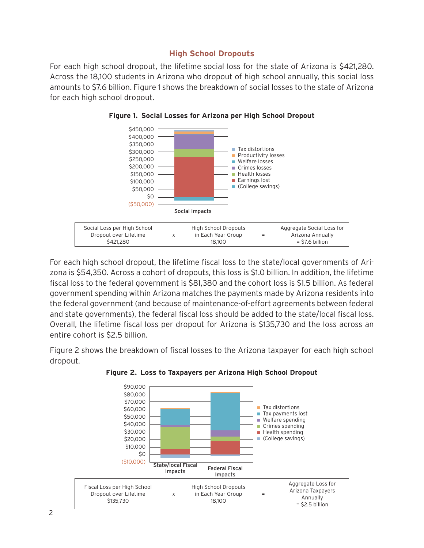#### **High School Dropouts**

For each high school dropout, the lifetime social loss for the state of Arizona is \$421,280. Across the 18,100 students in Arizona who dropout of high school annually, this social loss amounts to \$7.6 billion. Figure 1 shows the breakdown of social losses to the state of Arizona for each high school dropout.



**Figure 1. Social Losses for Arizona per High School Dropout**

For each high school dropout, the lifetime fiscal loss to the state/local governments of Arizona is \$54,350. Across a cohort of dropouts, this loss is \$1.0 billion. In addition, the lifetime fiscal loss to the federal government is \$81,380 and the cohort loss is \$1.5 billion. As federal government spending within Arizona matches the payments made by Arizona residents into the federal government (and because of maintenance-of-effort agreements between federal and state governments), the federal fiscal loss should be added to the state/local fiscal loss. Overall, the lifetime fiscal loss per dropout for Arizona is \$135,730 and the loss across an entire cohort is \$2.5 billion.

Figure 2 shows the breakdown of fiscal losses to the Arizona taxpayer for each high school dropout.



**Figure 2. Loss to Taxpayers per Arizona High School Dropout**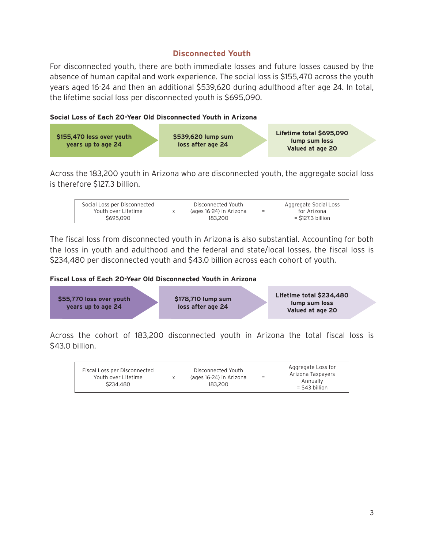#### **Disconnected Youth**

For disconnected youth, there are both immediate losses and future losses caused by the absence of human capital and work experience. The social loss is \$155,470 across the youth years aged 16-24 and then an additional \$539,620 during adulthood after age 24. In total, the lifetime social loss per disconnected youth is \$695,090.

#### **Social Loss of Each 20-Year Old Disconnected Youth in Arizona**



Across the 183,200 youth in Arizona who are disconnected youth, the aggregate social loss is therefore \$127.3 billion.



The fiscal loss from disconnected youth in Arizona is also substantial. Accounting for both the loss in youth and adulthood and the federal and state/local losses, the fiscal loss is \$234,480 per disconnected youth and \$43.0 billion across each cohort of youth.

#### **Fiscal Loss of Each 20-Year Old Disconnected Youth in Arizona**



Across the cohort of 183,200 disconnected youth in Arizona the total fiscal loss is \$43.0 billion.

| Fiscal Loss per Disconnected<br>Youth over Lifetime<br>\$234,480 | X | Disconnected Youth<br>(ages 16-24) in Arizona<br>183.200 | $\equiv$ | Aggregate Loss for<br>Arizona Taxpayers<br>Annually<br>$=$ \$43 billion |
|------------------------------------------------------------------|---|----------------------------------------------------------|----------|-------------------------------------------------------------------------|
|------------------------------------------------------------------|---|----------------------------------------------------------|----------|-------------------------------------------------------------------------|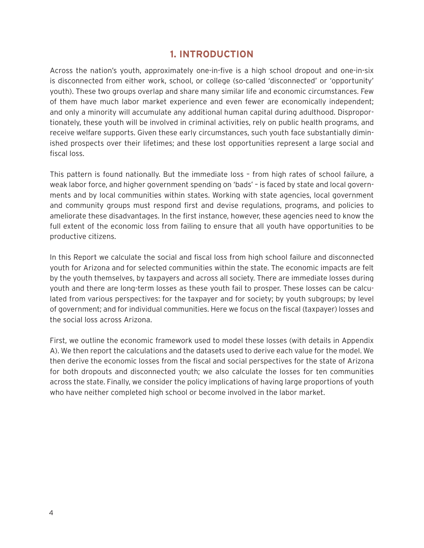## **1. INTRODUCTION**

Across the nation's youth, approximately one-in-five is a high school dropout and one-in-six is disconnected from either work, school, or college (so-called 'disconnected' or 'opportunity' youth). These two groups overlap and share many similar life and economic circumstances. Few of them have much labor market experience and even fewer are economically independent; and only a minority will accumulate any additional human capital during adulthood. Disproportionately, these youth will be involved in criminal activities, rely on public health programs, and receive welfare supports. Given these early circumstances, such youth face substantially diminished prospects over their lifetimes; and these lost opportunities represent a large social and fiscal loss.

This pattern is found nationally. But the immediate loss – from high rates of school failure, a weak labor force, and higher government spending on 'bads' – is faced by state and local governments and by local communities within states. Working with state agencies, local government and community groups must respond first and devise regulations, programs, and policies to ameliorate these disadvantages. In the first instance, however, these agencies need to know the full extent of the economic loss from failing to ensure that all youth have opportunities to be productive citizens.

In this Report we calculate the social and fiscal loss from high school failure and disconnected youth for Arizona and for selected communities within the state. The economic impacts are felt by the youth themselves, by taxpayers and across all society. There are immediate losses during youth and there are long-term losses as these youth fail to prosper. These losses can be calculated from various perspectives: for the taxpayer and for society; by youth subgroups; by level of government; and for individual communities. Here we focus on the fiscal (taxpayer) losses and the social loss across Arizona.

First, we outline the economic framework used to model these losses (with details in Appendix A). We then report the calculations and the datasets used to derive each value for the model. We then derive the economic losses from the fiscal and social perspectives for the state of Arizona for both dropouts and disconnected youth; we also calculate the losses for ten communities across the state. Finally, we consider the policy implications of having large proportions of youth who have neither completed high school or become involved in the labor market.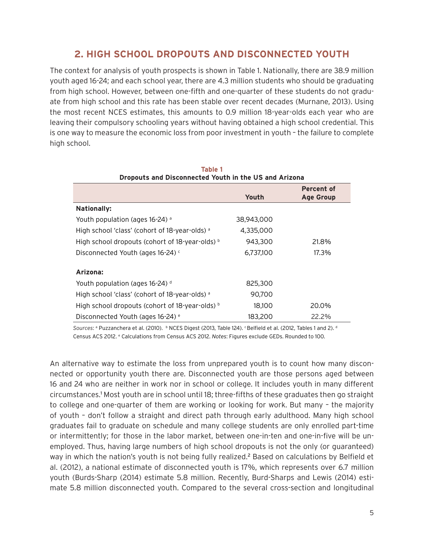# **2. HIGH SCHOOL DROPOUTS AND DISCONNECTED YOUTH**

The context for analysis of youth prospects is shown in Table 1. Nationally, there are 38.9 million youth aged 16-24; and each school year, there are 4.3 million students who should be graduating from high school. However, between one-fifth and one-quarter of these students do not graduate from high school and this rate has been stable over recent decades (Murnane, 2013). Using the most recent NCES estimates, this amounts to 0.9 million 18-year-olds each year who are leaving their compulsory schooling years without having obtained a high school credential. This is one way to measure the economic loss from poor investment in youth – the failure to complete high school.

| Dropouts and Disconnected Youth in the US and Arizona |            |                                       |  |  |
|-------------------------------------------------------|------------|---------------------------------------|--|--|
|                                                       | Youth      | <b>Percent of</b><br><b>Age Group</b> |  |  |
| <b>Nationally:</b>                                    |            |                                       |  |  |
| Youth population (ages $16-24$ ) a                    | 38,943,000 |                                       |  |  |
| High school 'class' (cohort of 18-year-olds) a        | 4,335,000  |                                       |  |  |
| High school dropouts (cohort of $18$ -year-olds) b    | 943,300    | 21.8%                                 |  |  |
| Disconnected Youth (ages 16-24) c                     | 6,737,100  | 17.3%                                 |  |  |
| Arizona:                                              |            |                                       |  |  |
| Youth population (ages 16-24) d                       | 825,300    |                                       |  |  |
| High school 'class' (cohort of 18-year-olds) a        | 90,700     |                                       |  |  |
| High school dropouts (cohort of 18-year-olds) b       | 18.100     | 20.0%                                 |  |  |
| Disconnected Youth (ages 16-24) <sup>e</sup>          | 183,200    | 22.2%                                 |  |  |

**Table 1**

Sources: <sup>a</sup> Puzzanchera et al. (2010). b NCES Digest (2013, Table 124). C Belfield et al. (2012, Tables 1 and 2). <sup>d</sup> Census ACS 2012. e Calculations from Census ACS 2012. *Notes*: Figures exclude GEDs. Rounded to 100.

An alternative way to estimate the loss from unprepared youth is to count how many disconnected or opportunity youth there are. Disconnected youth are those persons aged between 16 and 24 who are neither in work nor in school or college. It includes youth in many different circumstances.<sup>1</sup> Most youth are in school until 18; three-fifths of these graduates then go straight to college and one-quarter of them are working or looking for work. But many – the majority of youth – don't follow a straight and direct path through early adulthood. Many high school graduates fail to graduate on schedule and many college students are only enrolled part-time or intermittently; for those in the labor market, between one-in-ten and one-in-five will be unemployed. Thus, having large numbers of high school dropouts is not the only (or guaranteed) way in which the nation's youth is not being fully realized.<sup>2</sup> Based on calculations by Belfield et al. (2012), a national estimate of disconnected youth is 17%, which represents over 6.7 million youth (Burds-Sharp (2014) estimate 5.8 million. Recently, Burd-Sharps and Lewis (2014) estimate 5.8 million disconnected youth. Compared to the several cross-section and longitudinal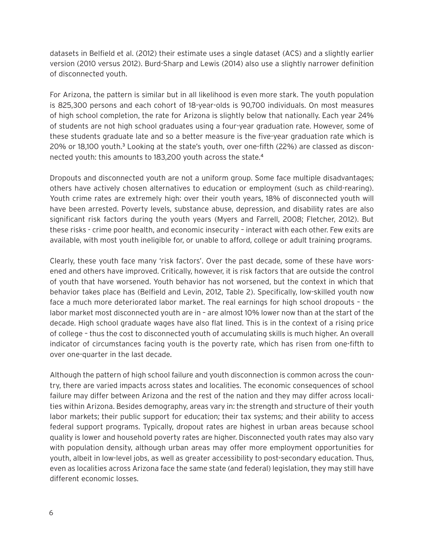datasets in Belfield et al. (2012) their estimate uses a single dataset (ACS) and a slightly earlier version (2010 versus 2012). Burd-Sharp and Lewis (2014) also use a slightly narrower definition of disconnected youth.

For Arizona, the pattern is similar but in all likelihood is even more stark. The youth population is 825,300 persons and each cohort of 18-year-olds is 90,700 individuals. On most measures of high school completion, the rate for Arizona is slightly below that nationally. Each year 24% of students are not high school graduates using a four-year graduation rate. However, some of these students graduate late and so a better measure is the five-year graduation rate which is 20% or 18,100 youth.<sup>3</sup> Looking at the state's youth, over one-fifth (22%) are classed as disconnected youth: this amounts to 183,200 youth across the state.<sup>4</sup>

Dropouts and disconnected youth are not a uniform group. Some face multiple disadvantages; others have actively chosen alternatives to education or employment (such as child-rearing). Youth crime rates are extremely high: over their youth years, 18% of disconnected youth will have been arrested. Poverty levels, substance abuse, depression, and disability rates are also significant risk factors during the youth years (Myers and Farrell, 2008; Fletcher, 2012). But these risks - crime poor health, and economic insecurity – interact with each other. Few exits are available, with most youth ineligible for, or unable to afford, college or adult training programs.

Clearly, these youth face many 'risk factors'. Over the past decade, some of these have worsened and others have improved. Critically, however, it is risk factors that are outside the control of youth that have worsened. Youth behavior has not worsened, but the context in which that behavior takes place has (Belfield and Levin, 2012, Table 2). Specifically, low-skilled youth now face a much more deteriorated labor market. The real earnings for high school dropouts – the labor market most disconnected youth are in – are almost 10% lower now than at the start of the decade. High school graduate wages have also flat lined. This is in the context of a rising price of college – thus the cost to disconnected youth of accumulating skills is much higher. An overall indicator of circumstances facing youth is the poverty rate, which has risen from one-fifth to over one-quarter in the last decade.

Although the pattern of high school failure and youth disconnection is common across the country, there are varied impacts across states and localities. The economic consequences of school failure may differ between Arizona and the rest of the nation and they may differ across localities within Arizona. Besides demography, areas vary in: the strength and structure of their youth labor markets; their public support for education; their tax systems; and their ability to access federal support programs. Typically, dropout rates are highest in urban areas because school quality is lower and household poverty rates are higher. Disconnected youth rates may also vary with population density, although urban areas may offer more employment opportunities for youth, albeit in low-level jobs, as well as greater accessibility to post-secondary education. Thus, even as localities across Arizona face the same state (and federal) legislation, they may still have different economic losses.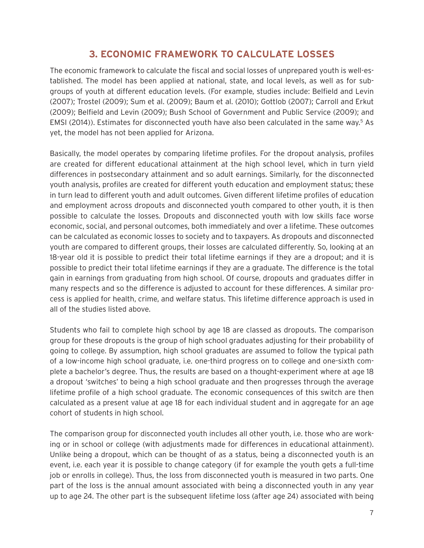# **3. ECONOMIC FRAMEWORK TO CALCULATE LOSSES**

The economic framework to calculate the fiscal and social losses of unprepared youth is well-established. The model has been applied at national, state, and local levels, as well as for subgroups of youth at different education levels. (For example, studies include: Belfield and Levin (2007); Trostel (2009); Sum et al. (2009); Baum et al. (2010); Gottlob (2007); Carroll and Erkut (2009); Belfield and Levin (2009); Bush School of Government and Public Service (2009); and EMSI (2014)). Estimates for disconnected youth have also been calculated in the same way.<sup>5</sup> As yet, the model has not been applied for Arizona.

Basically, the model operates by comparing lifetime profiles. For the dropout analysis, profiles are created for different educational attainment at the high school level, which in turn yield differences in postsecondary attainment and so adult earnings. Similarly, for the disconnected youth analysis, profiles are created for different youth education and employment status; these in turn lead to different youth and adult outcomes. Given different lifetime profiles of education and employment across dropouts and disconnected youth compared to other youth, it is then possible to calculate the losses. Dropouts and disconnected youth with low skills face worse economic, social, and personal outcomes, both immediately and over a lifetime. These outcomes can be calculated as economic losses to society and to taxpayers. As dropouts and disconnected youth are compared to different groups, their losses are calculated differently. So, looking at an 18-year old it is possible to predict their total lifetime earnings if they are a dropout; and it is possible to predict their total lifetime earnings if they are a graduate. The difference is the total gain in earnings from graduating from high school. Of course, dropouts and graduates differ in many respects and so the difference is adjusted to account for these differences. A similar process is applied for health, crime, and welfare status. This lifetime difference approach is used in all of the studies listed above.

Students who fail to complete high school by age 18 are classed as dropouts. The comparison group for these dropouts is the group of high school graduates adjusting for their probability of going to college. By assumption, high school graduates are assumed to follow the typical path of a low-income high school graduate, i.e. one-third progress on to college and one-sixth complete a bachelor's degree. Thus, the results are based on a thought-experiment where at age 18 a dropout 'switches' to being a high school graduate and then progresses through the average lifetime profile of a high school graduate. The economic consequences of this switch are then calculated as a present value at age 18 for each individual student and in aggregate for an age cohort of students in high school.

The comparison group for disconnected youth includes all other youth, i.e. those who are working or in school or college (with adjustments made for differences in educational attainment). Unlike being a dropout, which can be thought of as a status, being a disconnected youth is an event, i.e. each year it is possible to change category (if for example the youth gets a full-time job or enrolls in college). Thus, the loss from disconnected youth is measured in two parts. One part of the loss is the annual amount associated with being a disconnected youth in any year up to age 24. The other part is the subsequent lifetime loss (after age 24) associated with being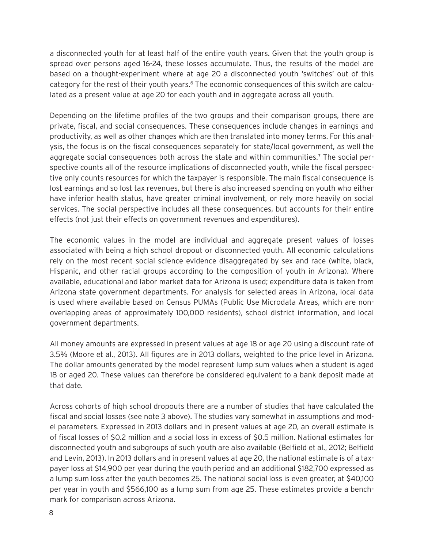a disconnected youth for at least half of the entire youth years. Given that the youth group is spread over persons aged 16-24, these losses accumulate. Thus, the results of the model are based on a thought-experiment where at age 20 a disconnected youth 'switches' out of this category for the rest of their youth years.<sup>6</sup> The economic consequences of this switch are calculated as a present value at age 20 for each youth and in aggregate across all youth.

Depending on the lifetime profiles of the two groups and their comparison groups, there are private, fiscal, and social consequences. These consequences include changes in earnings and productivity, as well as other changes which are then translated into money terms. For this analysis, the focus is on the fiscal consequences separately for state/local government, as well the aggregate social consequences both across the state and within communities.<sup>7</sup> The social perspective counts all of the resource implications of disconnected youth, while the fiscal perspective only counts resources for which the taxpayer is responsible. The main fiscal consequence is lost earnings and so lost tax revenues, but there is also increased spending on youth who either have inferior health status, have greater criminal involvement, or rely more heavily on social services. The social perspective includes all these consequences, but accounts for their entire effects (not just their effects on government revenues and expenditures).

The economic values in the model are individual and aggregate present values of losses associated with being a high school dropout or disconnected youth. All economic calculations rely on the most recent social science evidence disaggregated by sex and race (white, black, Hispanic, and other racial groups according to the composition of youth in Arizona). Where available, educational and labor market data for Arizona is used; expenditure data is taken from Arizona state government departments. For analysis for selected areas in Arizona, local data is used where available based on Census PUMAs (Public Use Microdata Areas, which are nonoverlapping areas of approximately 100,000 residents), school district information, and local government departments.

All money amounts are expressed in present values at age 18 or age 20 using a discount rate of 3.5% (Moore et al., 2013). All figures are in 2013 dollars, weighted to the price level in Arizona. The dollar amounts generated by the model represent lump sum values when a student is aged 18 or aged 20. These values can therefore be considered equivalent to a bank deposit made at that date.

Across cohorts of high school dropouts there are a number of studies that have calculated the fiscal and social losses (see note 3 above). The studies vary somewhat in assumptions and model parameters. Expressed in 2013 dollars and in present values at age 20, an overall estimate is of fiscal losses of \$0.2 million and a social loss in excess of \$0.5 million. National estimates for disconnected youth and subgroups of such youth are also available (Belfield et al., 2012; Belfield and Levin, 2013). In 2013 dollars and in present values at age 20, the national estimate is of a taxpayer loss at \$14,900 per year during the youth period and an additional \$182,700 expressed as a lump sum loss after the youth becomes 25. The national social loss is even greater, at \$40,100 per year in youth and \$566,100 as a lump sum from age 25. These estimates provide a benchmark for comparison across Arizona.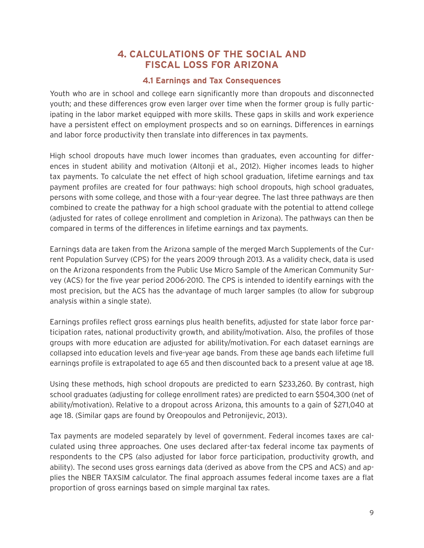## **4. CALCULATIONS OF THE SOCIAL AND FISCAL LOSS FOR ARIZONA**

#### **4.1 Earnings and Tax Consequences**

Youth who are in school and college earn significantly more than dropouts and disconnected youth; and these differences grow even larger over time when the former group is fully participating in the labor market equipped with more skills. These gaps in skills and work experience have a persistent effect on employment prospects and so on earnings. Differences in earnings and labor force productivity then translate into differences in tax payments.

High school dropouts have much lower incomes than graduates, even accounting for differences in student ability and motivation (Altonji et al., 2012). Higher incomes leads to higher tax payments. To calculate the net effect of high school graduation, lifetime earnings and tax payment profiles are created for four pathways: high school dropouts, high school graduates, persons with some college, and those with a four-year degree. The last three pathways are then combined to create the pathway for a high school graduate with the potential to attend college (adjusted for rates of college enrollment and completion in Arizona). The pathways can then be compared in terms of the differences in lifetime earnings and tax payments.

Earnings data are taken from the Arizona sample of the merged March Supplements of the Current Population Survey (CPS) for the years 2009 through 2013. As a validity check, data is used on the Arizona respondents from the Public Use Micro Sample of the American Community Survey (ACS) for the five year period 2006-2010. The CPS is intended to identify earnings with the most precision, but the ACS has the advantage of much larger samples (to allow for subgroup analysis within a single state).

Earnings profiles reflect gross earnings plus health benefits, adjusted for state labor force participation rates, national productivity growth, and ability/motivation. Also, the profiles of those groups with more education are adjusted for ability/motivation. For each dataset earnings are collapsed into education levels and five-year age bands. From these age bands each lifetime full earnings profile is extrapolated to age 65 and then discounted back to a present value at age 18.

Using these methods, high school dropouts are predicted to earn \$233,260. By contrast, high school graduates (adjusting for college enrollment rates) are predicted to earn \$504,300 (net of ability/motivation). Relative to a dropout across Arizona, this amounts to a gain of \$271,040 at age 18. (Similar gaps are found by Oreopoulos and Petronijevic, 2013).

Tax payments are modeled separately by level of government. Federal incomes taxes are calculated using three approaches. One uses declared after-tax federal income tax payments of respondents to the CPS (also adjusted for labor force participation, productivity growth, and ability). The second uses gross earnings data (derived as above from the CPS and ACS) and applies the NBER TAXSIM calculator. The final approach assumes federal income taxes are a flat proportion of gross earnings based on simple marginal tax rates.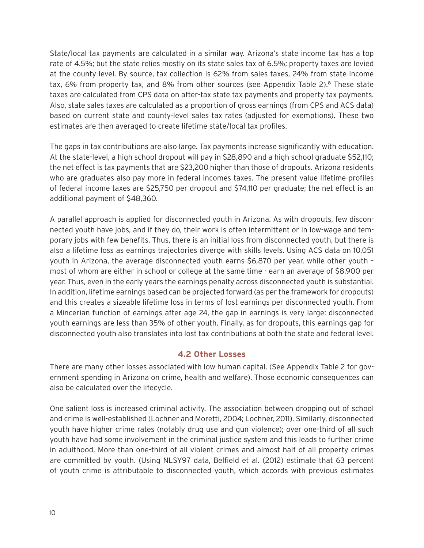State/local tax payments are calculated in a similar way. Arizona's state income tax has a top rate of 4.5%; but the state relies mostly on its state sales tax of 6.5%; property taxes are levied at the county level. By source, tax collection is 62% from sales taxes, 24% from state income tax, 6% from property tax, and 8% from other sources (see Appendix Table 2).<sup>8</sup> These state taxes are calculated from CPS data on after-tax state tax payments and property tax payments. Also, state sales taxes are calculated as a proportion of gross earnings (from CPS and ACS data) based on current state and county-level sales tax rates (adjusted for exemptions). These two estimates are then averaged to create lifetime state/local tax profiles.

The gaps in tax contributions are also large. Tax payments increase significantly with education. At the state-level, a high school dropout will pay in \$28,890 and a high school graduate \$52,110; the net effect is tax payments that are \$23,200 higher than those of dropouts. Arizona residents who are graduates also pay more in federal incomes taxes. The present value lifetime profiles of federal income taxes are \$25,750 per dropout and \$74,110 per graduate; the net effect is an additional payment of \$48,360.

A parallel approach is applied for disconnected youth in Arizona. As with dropouts, few disconnected youth have jobs, and if they do, their work is often intermittent or in low-wage and temporary jobs with few benefits. Thus, there is an initial loss from disconnected youth, but there is also a lifetime loss as earnings trajectories diverge with skills levels. Using ACS data on 10,051 youth in Arizona, the average disconnected youth earns \$6,870 per year, while other youth – most of whom are either in school or college at the same time - earn an average of \$8,900 per year. Thus, even in the early years the earnings penalty across disconnected youth is substantial. In addition, lifetime earnings based can be projected forward (as per the framework for dropouts) and this creates a sizeable lifetime loss in terms of lost earnings per disconnected youth. From a Mincerian function of earnings after age 24, the gap in earnings is very large: disconnected youth earnings are less than 35% of other youth. Finally, as for dropouts, this earnings gap for disconnected youth also translates into lost tax contributions at both the state and federal level.

#### **4.2 Other Losses**

There are many other losses associated with low human capital. (See Appendix Table 2 for government spending in Arizona on crime, health and welfare). Those economic consequences can also be calculated over the lifecycle.

One salient loss is increased criminal activity. The association between dropping out of school and crime is well-established (Lochner and Moretti, 2004; Lochner, 2011). Similarly, disconnected youth have higher crime rates (notably drug use and gun violence); over one-third of all such youth have had some involvement in the criminal justice system and this leads to further crime in adulthood. More than one-third of all violent crimes and almost half of all property crimes are committed by youth. (Using NLSY97 data, Belfield et al. (2012) estimate that 63 percent of youth crime is attributable to disconnected youth, which accords with previous estimates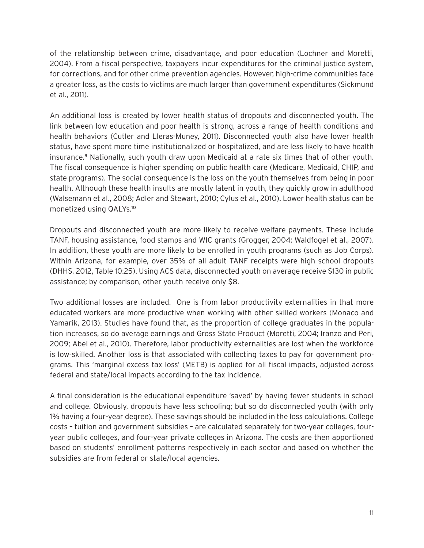of the relationship between crime, disadvantage, and poor education (Lochner and Moretti, 2004). From a fiscal perspective, taxpayers incur expenditures for the criminal justice system, for corrections, and for other crime prevention agencies. However, high-crime communities face a greater loss, as the costs to victims are much larger than government expenditures (Sickmund et al., 2011).

An additional loss is created by lower health status of dropouts and disconnected youth. The link between low education and poor health is strong, across a range of health conditions and health behaviors (Cutler and Lleras-Muney, 2011). Disconnected youth also have lower health status, have spent more time institutionalized or hospitalized, and are less likely to have health insurance.<sup>9</sup> Nationally, such youth draw upon Medicaid at a rate six times that of other youth. The fiscal consequence is higher spending on public health care (Medicare, Medicaid, CHIP, and state programs). The social consequence is the loss on the youth themselves from being in poor health. Although these health insults are mostly latent in youth, they quickly grow in adulthood (Walsemann et al., 2008; Adler and Stewart, 2010; Cylus et al., 2010). Lower health status can be monetized using QALYs.<sup>10</sup>

Dropouts and disconnected youth are more likely to receive welfare payments. These include TANF, housing assistance, food stamps and WIC grants (Grogger, 2004; Waldfogel et al., 2007). In addition, these youth are more likely to be enrolled in youth programs (such as Job Corps). Within Arizona, for example, over 35% of all adult TANF receipts were high school dropouts (DHHS, 2012, Table 10:25). Using ACS data, disconnected youth on average receive \$130 in public assistance; by comparison, other youth receive only \$8.

Two additional losses are included. One is from labor productivity externalities in that more educated workers are more productive when working with other skilled workers (Monaco and Yamarik, 2013). Studies have found that, as the proportion of college graduates in the population increases, so do average earnings and Gross State Product (Moretti, 2004; Iranzo and Peri, 2009; Abel et al., 2010). Therefore, labor productivity externalities are lost when the workforce is low-skilled. Another loss is that associated with collecting taxes to pay for government programs. This 'marginal excess tax loss' (METB) is applied for all fiscal impacts, adjusted across federal and state/local impacts according to the tax incidence.

A final consideration is the educational expenditure 'saved' by having fewer students in school and college. Obviously, dropouts have less schooling; but so do disconnected youth (with only 1% having a four-year degree). These savings should be included in the loss calculations. College costs – tuition and government subsidies – are calculated separately for two-year colleges, fouryear public colleges, and four-year private colleges in Arizona. The costs are then apportioned based on students' enrollment patterns respectively in each sector and based on whether the subsidies are from federal or state/local agencies.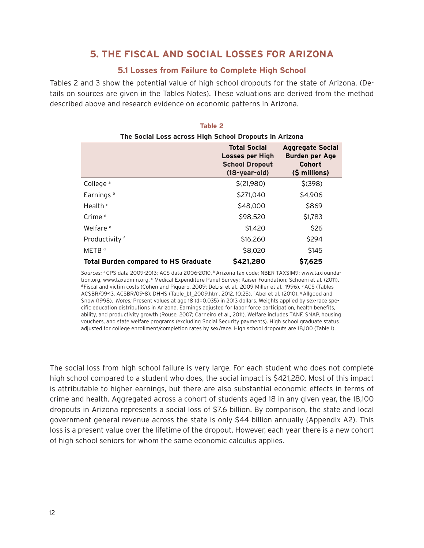# **5. THE FISCAL AND SOCIAL LOSSES FOR ARIZONA**

#### **5.1 Losses from Failure to Complete High School**

Tables 2 and 3 show the potential value of high school dropouts for the state of Arizona. (Details on sources are given in the Tables Notes). These valuations are derived from the method described above and research evidence on economic patterns in Arizona.

| Table 2                                                |                                                                                        |                                                                      |
|--------------------------------------------------------|----------------------------------------------------------------------------------------|----------------------------------------------------------------------|
| The Social Loss across High School Dropouts in Arizona |                                                                                        |                                                                      |
|                                                        | <b>Total Social</b><br>Losses per High<br><b>School Dropout</b><br>$(18 - year - old)$ | <b>Aggregate Social</b><br>Burden per Age<br>Cohort<br>(\$ millions) |
| College <sup>a</sup>                                   | \$(21,980)                                                                             | $$^{(398)}$                                                          |
| Earnings <sup>b</sup>                                  | \$271,040                                                                              | \$4,906                                                              |
| Health $\epsilon$                                      | \$48,000                                                                               | \$869                                                                |
| Crime $d$                                              | \$98,520                                                                               | \$1,783                                                              |
| Welfare <sup>e</sup>                                   | \$1,420                                                                                | \$26                                                                 |
| Productivity f                                         | \$16,260                                                                               | \$294                                                                |
| METB <sup>9</sup>                                      | \$8,020                                                                                | \$145                                                                |
| <b>Total Burden compared to HS Graduate</b>            | \$421,280                                                                              | \$7,625                                                              |

Sources: <sup>a</sup> CPS data 2009-2013; ACS data 2006-2010. <sup>b</sup> Arizona tax code; NBER TAXSIM9; www.taxfoundation.org, www.taxadmin.org. <sup>c</sup> Medical Expenditure Panel Survey; Kaiser Foundation; Schoeni et al. (2011). d Fiscal and victim costs (Cohen and Piquero. 2009; DeLisi et al., 2009 Miller et al., 1996). <sup>e</sup> ACS (Tables ACSBR/09-13, ACSBR/09-8); DHHS (Table\_b1\_2009.htm, 2012, 10:25). f Abel et al. (2010). g Allgood and Snow (1998). *Notes: Present values at age 18 (d=0.035) in 2013 dollars. Weights applied by sex-race spe*cific education distributions in Arizona. Earnings adjusted for labor force participation, health benefits, ability, and productivity growth (Rouse, 2007; Carneiro et al., 2011). Welfare includes TANF, SNAP, housing vouchers, and state welfare programs (excluding Social Security payments). High school graduate status adjusted for college enrollment/completion rates by sex/race. High school dropouts are 18,100 (Table 1).

The social loss from high school failure is very large. For each student who does not complete high school compared to a student who does, the social impact is \$421,280. Most of this impact is attributable to higher earnings, but there are also substantial economic effects in terms of crime and health. Aggregated across a cohort of students aged 18 in any given year, the 18,100 dropouts in Arizona represents a social loss of \$7.6 billion. By comparison, the state and local government general revenue across the state is only \$44 billion annually (Appendix A2). This loss is a present value over the lifetime of the dropout. However, each year there is a new cohort of high school seniors for whom the same economic calculus applies.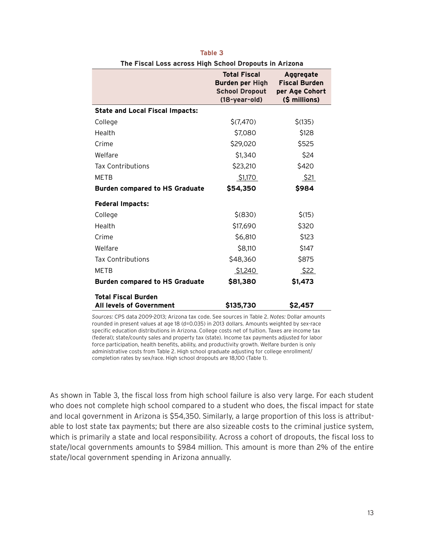|                                                        | <b>Total Fiscal</b><br>Burden per High<br><b>School Dropout</b><br>(18-year-old) | Aggregate<br><b>Fiscal Burden</b><br>per Age Cohort<br>(\$ millions) |
|--------------------------------------------------------|----------------------------------------------------------------------------------|----------------------------------------------------------------------|
| <b>State and Local Fiscal Impacts:</b>                 |                                                                                  |                                                                      |
| College                                                | \$(7,470)                                                                        | \$(135)                                                              |
| Health                                                 | \$7,080                                                                          | \$128                                                                |
| Crime                                                  | \$29,020                                                                         | \$525                                                                |
| Welfare                                                | \$1,340                                                                          | \$24                                                                 |
| <b>Tax Contributions</b>                               | \$23,210                                                                         | \$420                                                                |
| <b>METB</b>                                            | \$1,170                                                                          | \$21                                                                 |
| <b>Burden compared to HS Graduate</b>                  | \$54,350                                                                         | \$984                                                                |
| <b>Federal Impacts:</b>                                |                                                                                  |                                                                      |
| College                                                | \$ (830)                                                                         | \$(15)                                                               |
| Health                                                 | \$17,690                                                                         | \$320                                                                |
| Crime                                                  | \$6,810                                                                          | \$123                                                                |
| Welfare                                                | \$8,110                                                                          | \$147                                                                |
| <b>Tax Contributions</b>                               | \$48,360                                                                         | \$875                                                                |
| <b>METB</b>                                            | \$1,240                                                                          | \$22                                                                 |
| <b>Burden compared to HS Graduate</b>                  | \$81,380                                                                         | \$1,473                                                              |
| <b>Total Fiscal Burden</b><br>All levels of Government | \$135,730                                                                        | \$2,457                                                              |

**Table 3 The Fiscal Loss across High School Dropouts in Arizona**

*Sources:* CPS data 2009-2013; Arizona tax code. See sources in Table 2. *Notes:* Dollar amounts rounded in present values at age 18 (d=0.035) in 2013 dollars. Amounts weighted by sex-race specific education distributions in Arizona. College costs net of tuition. Taxes are income tax (federal); state/county sales and property tax (state). Income tax payments adjusted for labor force participation, health benefits, ability, and productivity growth. Welfare burden is only administrative costs from Table 2. High school graduate adjusting for college enrollment/ completion rates by sex/race. High school dropouts are 18,100 (Table 1).

As shown in Table 3, the fiscal loss from high school failure is also very large. For each student who does not complete high school compared to a student who does, the fiscal impact for state and local government in Arizona is \$54,350. Similarly, a large proportion of this loss is attributable to lost state tax payments; but there are also sizeable costs to the criminal justice system, which is primarily a state and local responsibility. Across a cohort of dropouts, the fiscal loss to state/local governments amounts to \$984 million. This amount is more than 2% of the entire state/local government spending in Arizona annually.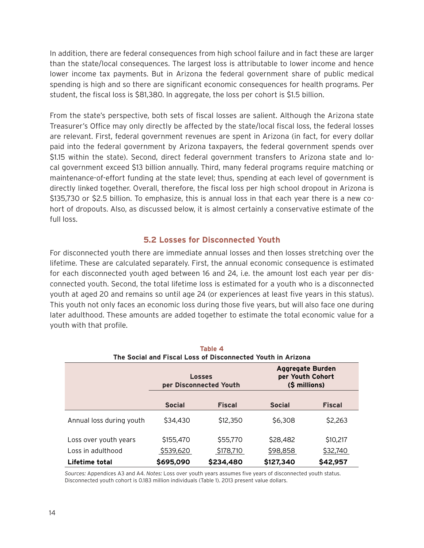In addition, there are federal consequences from high school failure and in fact these are larger than the state/local consequences. The largest loss is attributable to lower income and hence lower income tax payments. But in Arizona the federal government share of public medical spending is high and so there are significant economic consequences for health programs. Per student, the fiscal loss is \$81,380. In aggregate, the loss per cohort is \$1.5 billion.

From the state's perspective, both sets of fiscal losses are salient. Although the Arizona state Treasurer's Office may only directly be affected by the state/local fiscal loss, the federal losses are relevant. First, federal government revenues are spent in Arizona (in fact, for every dollar paid into the federal government by Arizona taxpayers, the federal government spends over \$1.15 within the state). Second, direct federal government transfers to Arizona state and local government exceed \$13 billion annually. Third, many federal programs require matching or maintenance-of-effort funding at the state level; thus, spending at each level of government is directly linked together. Overall, therefore, the fiscal loss per high school dropout in Arizona is \$135,730 or \$2.5 billion. To emphasize, this is annual loss in that each year there is a new cohort of dropouts. Also, as discussed below, it is almost certainly a conservative estimate of the full loss.

#### **5.2 Losses for Disconnected Youth**

For disconnected youth there are immediate annual losses and then losses stretching over the lifetime. These are calculated separately. First, the annual economic consequence is estimated for each disconnected youth aged between 16 and 24, i.e. the amount lost each year per disconnected youth. Second, the total lifetime loss is estimated for a youth who is a disconnected youth at aged 20 and remains so until age 24 (or experiences at least five years in this status). This youth not only faces an economic loss during those five years, but will also face one during later adulthood. These amounts are added together to estimate the total economic value for a youth with that profile.

|                          | Table 4<br>The Social and Fiscal Loss of Disconnected Youth in Arizona |                                         |                                                              |               |  |  |  |
|--------------------------|------------------------------------------------------------------------|-----------------------------------------|--------------------------------------------------------------|---------------|--|--|--|
|                          |                                                                        | <b>Losses</b><br>per Disconnected Youth | <b>Aggregate Burden</b><br>per Youth Cohort<br>(\$ millions) |               |  |  |  |
|                          | <b>Social</b>                                                          | <b>Fiscal</b>                           | <b>Social</b>                                                | <b>Fiscal</b> |  |  |  |
| Annual loss during youth | \$34,430                                                               | \$12,350                                | \$6,308                                                      | \$2,263       |  |  |  |
| Loss over youth years    | \$155,470                                                              | \$55,770                                | \$28,482                                                     | \$10,217      |  |  |  |
| Loss in adulthood        | \$539,620                                                              | \$178,710                               | \$98,858                                                     | \$32,740      |  |  |  |
| Lifetime total           | \$695,090                                                              | \$234,480                               | \$127,340                                                    | \$42,957      |  |  |  |

*Sources:* Appendices A3 and A4. *Notes:* Loss over youth years assumes five years of disconnected youth status. Disconnected youth cohort is 0.183 million individuals (Table 1). 2013 present value dollars.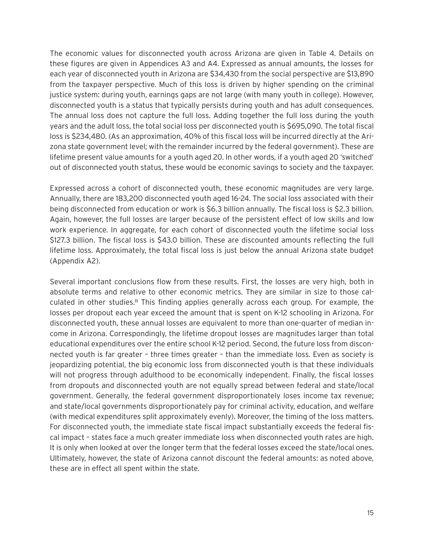The economic values for disconnected youth across Arizona are given in Table 4. Details on these figures are given in Appendices A3 and A4. Expressed as annual amounts, the losses for each year of disconnected youth in Arizona are \$34,430 from the social perspective are \$13,890 from the taxpayer perspective. Much of this loss is driven by higher spending on the criminal justice system: during youth, earnings gaps are not large (with many youth in college). However, disconnected youth is a status that typically persists during youth and has adult consequences. The annual loss does not capture the full loss. Adding together the full loss during the youth years and the adult loss, the total social loss per disconnected youth is \$695,090. The total fiscal loss is \$234,480. (As an approximation, 40% of this fiscal loss will be incurred directly at the Arizona state government level; with the remainder incurred by the federal government). These are lifetime present value amounts for a youth aged 20. In other words, if a youth aged 20 'switched' out of disconnected youth status, these would be economic savings to society and the taxpayer.

Expressed across a cohort of disconnected youth, these economic magnitudes are very large. Annually, there are 183,200 disconnected youth aged 16-24. The social loss associated with their being disconnected from education or work is \$6.3 billion annually. The fiscal loss is \$2.3 billion. Again, however, the full losses are larger because of the persistent effect of low skills and low work experience. In aggregate, for each cohort of disconnected youth the lifetime social loss \$127.3 billion. The fiscal loss is \$43.0 billion. These are discounted amounts reflecting the full lifetime loss. Approximately, the total fiscal loss is just below the annual Arizona state budget (Appendix A2).

Several important conclusions flow from these results. First, the losses are very high, both in absolute terms and relative to other economic metrics. They are similar in size to those calculated in other studies.11 This finding applies generally across each group. For example, the losses per dropout each year exceed the amount that is spent on K-12 schooling in Arizona. For disconnected youth, these annual losses are equivalent to more than one-quarter of median income in Arizona. Correspondingly, the lifetime dropout losses are magnitudes larger than total educational expenditures over the entire school K-12 period. Second, the future loss from disconnected youth is far greater – three times greater – than the immediate loss. Even as society is jeopardizing potential, the big economic loss from disconnected youth is that these individuals will not progress through adulthood to be economically independent. Finally, the fiscal losses from dropouts and disconnected youth are not equally spread between federal and state/local government. Generally, the federal government disproportionately loses income tax revenue; and state/local governments disproportionately pay for criminal activity, education, and welfare (with medical expenditures split approximately evenly). Moreover, the timing of the loss matters. For disconnected youth, the immediate state fiscal impact substantially exceeds the federal fiscal impact – states face a much greater immediate loss when disconnected youth rates are high. It is only when looked at over the longer term that the federal losses exceed the state/local ones. Ultimately, however, the state of Arizona cannot discount the federal amounts: as noted above, these are in effect all spent within the state.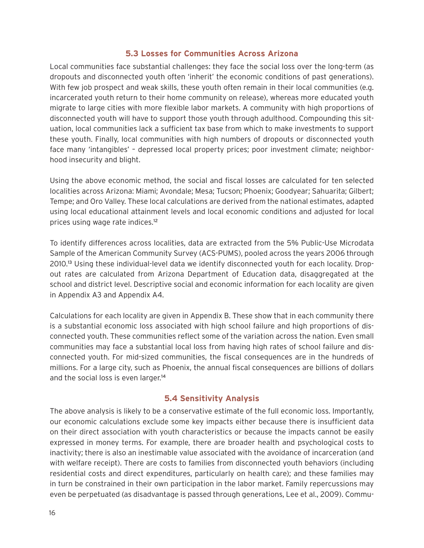#### **5.3 Losses for Communities Across Arizona**

Local communities face substantial challenges: they face the social loss over the long-term (as dropouts and disconnected youth often 'inherit' the economic conditions of past generations). With few job prospect and weak skills, these youth often remain in their local communities (e.g. incarcerated youth return to their home community on release), whereas more educated youth migrate to large cities with more flexible labor markets. A community with high proportions of disconnected youth will have to support those youth through adulthood. Compounding this situation, local communities lack a sufficient tax base from which to make investments to support these youth. Finally, local communities with high numbers of dropouts or disconnected youth face many 'intangibles' – depressed local property prices; poor investment climate; neighborhood insecurity and blight.

Using the above economic method, the social and fiscal losses are calculated for ten selected localities across Arizona: Miami; Avondale; Mesa; Tucson; Phoenix; Goodyear; Sahuarita; Gilbert; Tempe; and Oro Valley. These local calculations are derived from the national estimates, adapted using local educational attainment levels and local economic conditions and adjusted for local prices using wage rate indices.<sup>12</sup>

To identify differences across localities, data are extracted from the 5% Public-Use Microdata Sample of the American Community Survey (ACS-PUMS), pooled across the years 2006 through 2010.13 Using these individual-level data we identify disconnected youth for each locality. Dropout rates are calculated from Arizona Department of Education data, disaggregated at the school and district level. Descriptive social and economic information for each locality are given in Appendix A3 and Appendix A4.

Calculations for each locality are given in Appendix B. These show that in each community there is a substantial economic loss associated with high school failure and high proportions of disconnected youth. These communities reflect some of the variation across the nation. Even small communities may face a substantial local loss from having high rates of school failure and disconnected youth. For mid-sized communities, the fiscal consequences are in the hundreds of millions. For a large city, such as Phoenix, the annual fiscal consequences are billions of dollars and the social loss is even larger.<sup>14</sup>

#### **5.4 Sensitivity Analysis**

The above analysis is likely to be a conservative estimate of the full economic loss. Importantly, our economic calculations exclude some key impacts either because there is insufficient data on their direct association with youth characteristics or because the impacts cannot be easily expressed in money terms. For example, there are broader health and psychological costs to inactivity; there is also an inestimable value associated with the avoidance of incarceration (and with welfare receipt). There are costs to families from disconnected youth behaviors (including residential costs and direct expenditures, particularly on health care); and these families may in turn be constrained in their own participation in the labor market. Family repercussions may even be perpetuated (as disadvantage is passed through generations, Lee et al., 2009). Commu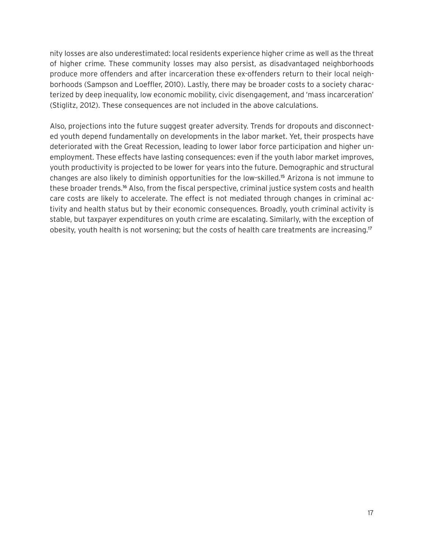nity losses are also underestimated: local residents experience higher crime as well as the threat of higher crime. These community losses may also persist, as disadvantaged neighborhoods produce more offenders and after incarceration these ex-offenders return to their local neighborhoods (Sampson and Loeffler, 2010). Lastly, there may be broader costs to a society characterized by deep inequality, low economic mobility, civic disengagement, and 'mass incarceration' (Stiglitz, 2012). These consequences are not included in the above calculations.

Also, projections into the future suggest greater adversity. Trends for dropouts and disconnected youth depend fundamentally on developments in the labor market. Yet, their prospects have deteriorated with the Great Recession, leading to lower labor force participation and higher unemployment. These effects have lasting consequences: even if the youth labor market improves, youth productivity is projected to be lower for years into the future. Demographic and structural changes are also likely to diminish opportunities for the low-skilled.15 Arizona is not immune to these broader trends.<sup>16</sup> Also, from the fiscal perspective, criminal justice system costs and health care costs are likely to accelerate. The effect is not mediated through changes in criminal activity and health status but by their economic consequences. Broadly, youth criminal activity is stable, but taxpayer expenditures on youth crime are escalating. Similarly, with the exception of obesity, youth health is not worsening; but the costs of health care treatments are increasing.17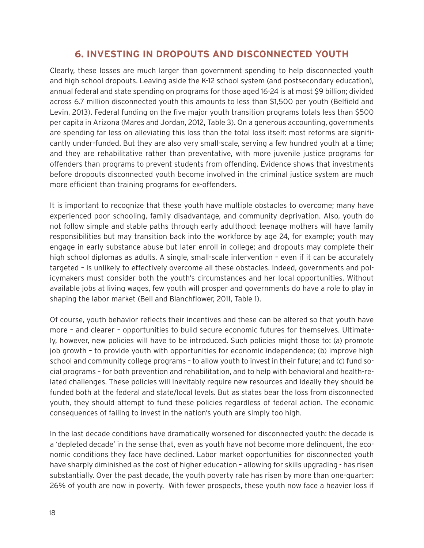# **6. INVESTING IN DROPOUTS AND DISCONNECTED YOUTH**

Clearly, these losses are much larger than government spending to help disconnected youth and high school dropouts. Leaving aside the K-12 school system (and postsecondary education), annual federal and state spending on programs for those aged 16-24 is at most \$9 billion; divided across 6.7 million disconnected youth this amounts to less than \$1,500 per youth (Belfield and Levin, 2013). Federal funding on the five major youth transition programs totals less than \$500 per capita in Arizona (Mares and Jordan, 2012, Table 3). On a generous accounting, governments are spending far less on alleviating this loss than the total loss itself: most reforms are significantly under-funded. But they are also very small-scale, serving a few hundred youth at a time; and they are rehabilitative rather than preventative, with more juvenile justice programs for offenders than programs to prevent students from offending. Evidence shows that investments before dropouts disconnected youth become involved in the criminal justice system are much more efficient than training programs for ex-offenders.

It is important to recognize that these youth have multiple obstacles to overcome; many have experienced poor schooling, family disadvantage, and community deprivation. Also, youth do not follow simple and stable paths through early adulthood: teenage mothers will have family responsibilities but may transition back into the workforce by age 24, for example; youth may engage in early substance abuse but later enroll in college; and dropouts may complete their high school diplomas as adults. A single, small-scale intervention - even if it can be accurately targeted – is unlikely to effectively overcome all these obstacles. Indeed, governments and policymakers must consider both the youth's circumstances and her local opportunities. Without available jobs at living wages, few youth will prosper and governments do have a role to play in shaping the labor market (Bell and Blanchflower, 2011, Table 1).

Of course, youth behavior reflects their incentives and these can be altered so that youth have more – and clearer – opportunities to build secure economic futures for themselves. Ultimately, however, new policies will have to be introduced. Such policies might those to: (a) promote job growth – to provide youth with opportunities for economic independence; (b) improve high school and community college programs – to allow youth to invest in their future; and (c) fund social programs – for both prevention and rehabilitation, and to help with behavioral and health-related challenges. These policies will inevitably require new resources and ideally they should be funded both at the federal and state/local levels. But as states bear the loss from disconnected youth, they should attempt to fund these policies regardless of federal action. The economic consequences of failing to invest in the nation's youth are simply too high.

In the last decade conditions have dramatically worsened for disconnected youth: the decade is a 'depleted decade' in the sense that, even as youth have not become more delinquent, the economic conditions they face have declined. Labor market opportunities for disconnected youth have sharply diminished as the cost of higher education – allowing for skills upgrading - has risen substantially. Over the past decade, the youth poverty rate has risen by more than one-quarter: 26% of youth are now in poverty. With fewer prospects, these youth now face a heavier loss if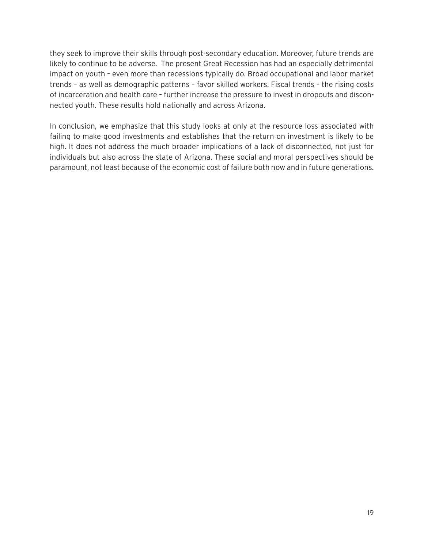they seek to improve their skills through post-secondary education. Moreover, future trends are likely to continue to be adverse. The present Great Recession has had an especially detrimental impact on youth – even more than recessions typically do. Broad occupational and labor market trends – as well as demographic patterns – favor skilled workers. Fiscal trends – the rising costs of incarceration and health care – further increase the pressure to invest in dropouts and disconnected youth. These results hold nationally and across Arizona.

In conclusion, we emphasize that this study looks at only at the resource loss associated with failing to make good investments and establishes that the return on investment is likely to be high. It does not address the much broader implications of a lack of disconnected, not just for individuals but also across the state of Arizona. These social and moral perspectives should be paramount, not least because of the economic cost of failure both now and in future generations.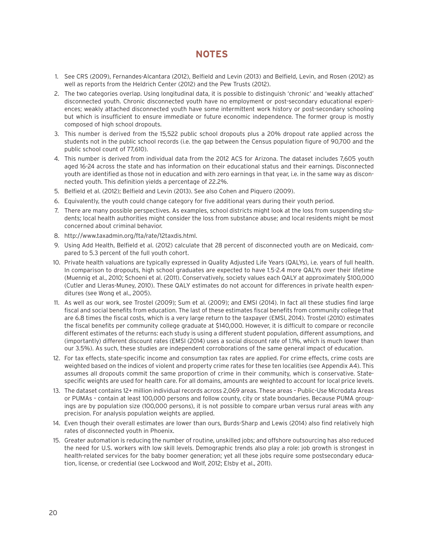## **NOTES**

- 1. See CRS (2009), Fernandes-Alcantara (2012), Belfield and Levin (2013) and Belfield, Levin, and Rosen (2012) as well as reports from the Heldrich Center (2012) and the Pew Trusts (2012).
- 2. The two categories overlap. Using longitudinal data, it is possible to distinguish 'chronic' and 'weakly attached' disconnected youth. Chronic disconnected youth have no employment or post-secondary educational experiences; weakly attached disconnected youth have some intermittent work history or post-secondary schooling but which is insufficient to ensure immediate or future economic independence. The former group is mostly composed of high school dropouts.
- 3. This number is derived from the 15,522 public school dropouts plus a 20% dropout rate applied across the students not in the public school records (i.e. the gap between the Census population figure of 90,700 and the public school count of 77,610).
- 4. This number is derived from individual data from the 2012 ACS for Arizona. The dataset includes 7,605 youth aged 16-24 across the state and has information on their educational status and their earnings. Disconnected youth are identified as those not in education and with zero earnings in that year, i.e. in the same way as disconnected youth. This definition yields a percentage of 22.2%.
- 5. Belfield et al. (2012); Belfield and Levin (2013). See also Cohen and Piquero (2009).
- 6. Equivalently, the youth could change category for five additional years during their youth period.
- 7. There are many possible perspectives. As examples, school districts might look at the loss from suspending students; local health authorities might consider the loss from substance abuse; and local residents might be most concerned about criminal behavior.
- 8. http://www.taxadmin.org/fta/rate/12taxdis.html.
- 9. Using Add Health, Belfield et al. (2012) calculate that 28 percent of disconnected youth are on Medicaid, compared to 5.3 percent of the full youth cohort.
- 10. Private health valuations are typically expressed in Quality Adjusted Life Years (QALYs), i.e. years of full health. In comparison to dropouts, high school graduates are expected to have 1.5-2.4 more QALYs over their lifetime (Muennig et al., 2010; Schoeni et al. (2011). Conservatively, society values each QALY at approximately \$100,000 (Cutler and Lleras-Muney, 2010). These QALY estimates do not account for differences in private health expenditures (see Wong et al., 2005).
- 11. As well as our work, see Trostel (2009); Sum et al. (2009); and EMSI (2014). In fact all these studies find large fiscal and social benefits from education. The last of these estimates fiscal benefits from community college that are 6.8 times the fiscal costs, which is a very large return to the taxpayer (EMSI, 2014). Trostel (2010) estimates the fiscal benefits per community college graduate at \$140,000. However, it is difficult to compare or reconcile different estimates of the returns: each study is using a different student population, different assumptions, and (importantly) different discount rates (EMSI (2014) uses a social discount rate of 1.1%, which is much lower than our 3.5%). As such, these studies are independent corroborations of the same general impact of education.
- 12. For tax effects, state-specific income and consumption tax rates are applied. For crime effects, crime costs are weighted based on the indices of violent and property crime rates for these ten localities (see Appendix A4). This assumes all dropouts commit the same proportion of crime in their community, which is conservative. Statespecific weights are used for health care. For all domains, amounts are weighted to account for local price levels.
- 13. The dataset contains 12+ million individual records across 2,069 areas. These areas Public-Use Microdata Areas or PUMAs – contain at least 100,000 persons and follow county, city or state boundaries. Because PUMA groupings are by population size (100,000 persons), it is not possible to compare urban versus rural areas with any precision. For analysis population weights are applied.
- 14. Even though their overall estimates are lower than ours, Burds-Sharp and Lewis (2014) also find relatively high rates of disconnected youth in Phoenix.
- 15. Greater automation is reducing the number of routine, unskilled jobs; and offshore outsourcing has also reduced the need for U.S. workers with low skill levels. Demographic trends also play a role: job growth is strongest in health-related services for the baby boomer generation; yet all these jobs require some postsecondary education, license, or credential (see Lockwood and Wolf, 2012; Elsby et al., 2011).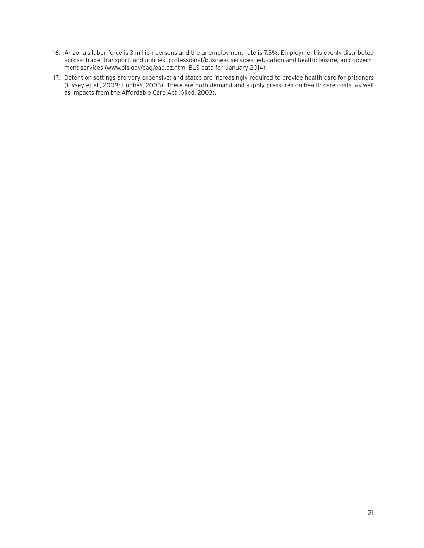- 16. Arizona's labor force is 3 million persons and the unemployment rate is 7.5%. Employment is evenly distributed across: trade, transport, and utilities; professional/business services; education and health; leisure; and government services (www.bls.gov/eag/eag.az.htm, BLS data for January 2014).
- 17. Detention settings are very expensive; and states are increasingly required to provide health care for prisoners (Livsey et al., 2009; Hughes, 2006). There are both demand and supply pressures on health care costs, as well as impacts from the Affordable Care Act (Glied, 2003).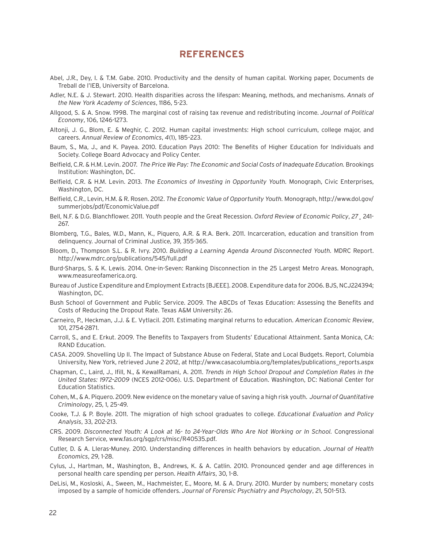#### **REFERENCES**

- Abel, J.R., Dey, I. & T.M. Gabe. 2010. Productivity and the density of human capital. Working paper, Documents de Treball de l'IEB, University of Barcelona.
- Adler, N.E. & J. Stewart. 2010. Health disparities across the lifespan: Meaning, methods, and mechanisms. *Annals of the New York Academy of Sciences*, 1186, 5-23.
- Allgood, S. & A. Snow. 1998. The marginal cost of raising tax revenue and redistributing income. *Journal of Political Economy*, 106, 1246-1273.
- Altonji, J. G., Blom, E. & Meghir, C. 2012. Human capital investments: High school curriculum, college major, and careers. *Annual Review of Economics*, *4*(1), 185–223.
- Baum, S., Ma, J., and K. Payea. 2010. Education Pays 2010: The Benefits of Higher Education for Individuals and Society. College Board Advocacy and Policy Center.
- Belfield, C.R. & H.M. Levin. 2007. *The Price We Pay: The Economic and Social Costs of Inadequate Education.* Brookings Institution: Washington, DC.
- Belfield, C.R. & H.M. Levin. 2013. *The Economics of Investing in Opportunity Youth.* Monograph, Civic Enterprises, Washington, DC.
- Belfield, C.R., Levin, H.M. & R. Rosen. 2012. *The Economic Value of Opportunity Youth.* Monograph, http://www.dol.gov/ summerjobs/pdf/EconomicValue.pdf
- Bell, N.F. & D.G. Blanchflower. 2011. Youth people and the Great Recession. *Oxford Review of Economic Policy*, *27*¸ 241- 267.
- Blomberg, T.G., Bales, W.D., Mann, K., Piquero, A.R. & R.A. Berk. 2011. Incarceration, education and transition from delinquency. Journal of Criminal Justice, 39, 355-365.
- Bloom, D., Thompson S.L. & R. Ivry. 2010. *Building a Learning Agenda Around Disconnected Youth.* MDRC Report. http://www.mdrc.org/publications/545/full.pdf
- Burd-Sharps, S. & K. Lewis. 2014. One-in-Seven: Ranking Disconnection in the 25 Largest Metro Areas. Monograph, www.measureofamerica.org.
- Bureau of Justice Expenditure and Employment Extracts [BJEEE]. 2008. Expenditure data for 2006. BJS, NCJ224394; Washington, DC.
- Bush School of Government and Public Service. 2009. The ABCDs of Texas Education: Assessing the Benefits and Costs of Reducing the Dropout Rate. Texas A&M University: 26.
- Carneiro, P., Heckman, J.J. & E. Vytlacil. 2011. Estimating marginal returns to education. *American Economic Review*, 101, 2754-2871.
- Carroll, S., and E. Erkut. 2009. The Benefits to Taxpayers from Students' Educational Attainment. Santa Monica, CA: RAND Education.
- CASA. 2009. Shovelling Up II. The Impact of Substance Abuse on Federal, State and Local Budgets. Report, Columbia University, New York, retrieved June 2 2012, at http://www.casacolumbia.org/templates/publications\_reports.aspx
- Chapman, C., Laird, J., Ifill, N., & KewalRamani, A. 2011. *Trends in High School Dropout and Completion Rates in the United States: 1972–2009* (NCES 2012-006). U.S. Department of Education. Washington, DC: National Center for Education Statistics.
- Cohen, M., & A. Piquero. 2009. New evidence on the monetary value of saving a high risk youth. *Journal of Quantitative Criminology*, 25, 1, 25-49.
- Cooke, T.J. & P. Boyle. 2011. The migration of high school graduates to college. *Educational Evaluation and Policy Analysis*, 33, 202-213.
- CRS. 2009. *Disconnected Youth: A Look at 16- to 24-Year-Olds Who Are Not Working or In School.* Congressional Research Service, www.fas.org/sgp/crs/misc/R40535.pdf.
- Cutler, D. & A. Lleras-Muney. 2010. Understanding differences in health behaviors by education. *Journal of Health Economics*, 29, 1-28.
- Cylus, J., Hartman, M., Washington, B., Andrews, K. & A. Catlin. 2010. Pronounced gender and age differences in personal health care spending per person. *Health Affairs*, 30, 1-8.
- DeLisi, M., Kosloski, A., Sween, M., Hachmeister, E., Moore, M. & A. Drury. 2010. Murder by numbers; monetary costs imposed by a sample of homicide offenders. *Journal of Forensic Psychiatry and Psychology*, 21, 501-513.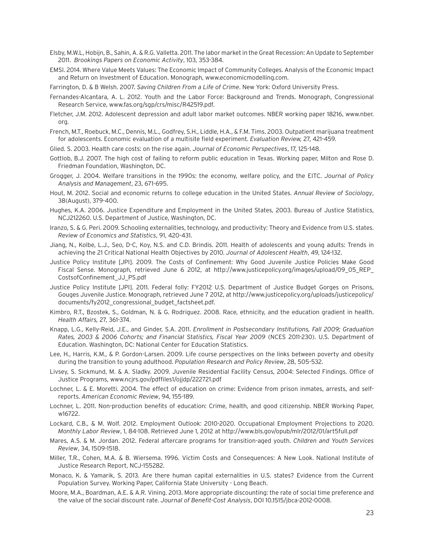- Elsby, M.W.L, Hobijn, B., Sahin, A. & R.G. Valletta. 2011. The labor market in the Great Recession: An Update to September 2011. *Brookings Papers on Economic Activity*, 103, 353-384.
- EMSI. 2014. Where Value Meets Values: The Economic Impact of Community Colleges. Analysis of the Economic Impact and Return on Investment of Education. Monograph, www.economicmodelling.com.

Farrington, D. & B Welsh. 2007. *Saving Children From a Life of Crime*. New York: Oxford University Press.

- Fernandes-Alcantara, A. L. 2012. Youth and the Labor Force: Background and Trends. Monograph, Congressional Research Service, www.fas.org/sgp/crs/misc/R42519.pdf.
- Fletcher, J.M. 2012. Adolescent depression and adult labor market outcomes. NBER working paper 18216, www.nber. org.
- French, M.T., Roebuck, M.C., Dennis, M.L., Godfrey, S.H., Liddle, H.A., & F.M. Tims. 2003. Outpatient marijuana treatment for adolescents. Economic evaluation of a multisite field experiment. *Evaluation Review,* 27, 421-459.
- Glied. S. 2003. Health care costs: on the rise again. *Journal of Economic Perspectives*, 17, 125-148.
- Gottlob, B.J. 2007. The high cost of failing to reform public education in Texas. Working paper, Milton and Rose D. Friedman Foundation, Washington, DC.
- Grogger, J. 2004. Welfare transitions in the 1990s: the economy, welfare policy, and the EITC. *Journal of Policy Analysis and Management*, 23, 671-695.
- Hout, M. 2012. Social and economic returns to college education in the United States. *Annual Review of Sociology*, 38(August), 379-400.
- Hughes, K.A. 2006. Justice Expenditure and Employment in the United States, 2003. Bureau of Justice Statistics, NCJ212260. U.S. Department of Justice, Washington, DC.
- Iranzo, S. & G. Peri. 2009. Schooling externalities, technology, and productivity: Theory and Evidence from U.S. states. *Review of Economics and Statistics*, 91, 420-431.
- Jiang, N., Kolbe, L.J., Seo, D-C, Koy, N.S. and C.D. Brindis. 2011. Health of adolescents and young adults: Trends in achieving the 21 Critical National Health Objectives by 2010. *Journal of Adolescent Health*, 49, 124-132.
- Justice Policy Institute [JPI]. 2009. The Costs of Confinement: Why Good Juvenile Justice Policies Make Good Fiscal Sense. Monograph, retrieved June 6 2012, at http://www.justicepolicy.org/images/upload/09\_05\_REP\_ CostsofConfinement\_JJ\_PS.pdf
- Justice Policy Institute [JPI]. 2011. Federal folly: FY2012 U.S. Department of Justice Budget Gorges on Prisons, Gouges Juvenile Justice. Monograph, retrieved June 7 2012, at http://www.justicepolicy.org/uploads/justicepolicy/ documents/fy2012\_congressional\_budget\_factsheet.pdf.
- Kimbro, R.T., Bzostek, S., Goldman, N. & G. Rodriguez. 2008. Race, ethnicity, and the education gradient in health. *Health Affairs,* 27, 361-374.
- Knapp, L.G., Kelly-Reid, J.E., and Ginder, S.A. 2011. *Enrollment in Postsecondary Institutions, Fall 2009; Graduation Rates, 2003 & 2006 Cohorts; and Financial Statistics, Fiscal Year 2009* (NCES 2011-230). U.S. Department of Education. Washington, DC: National Center for Education Statistics.
- Lee, H., Harris, K.M., & P. Gordon-Larsen. 2009. Life course perspectives on the links between poverty and obesity during the transition to young adulthood. *Population Research and Policy Review*, 28, 505-532.
- Livsey, S. Sickmund, M. & A. Sladky. 2009. Juvenile Residential Facility Census, 2004: Selected Findings. Office of Justice Programs, www.ncjrs.gov/pdffiles1/ojjdp/222721.pdf
- Lochner, L. & E. Moretti. 2004. The effect of education on crime: Evidence from prison inmates, arrests, and selfreports. *American Economic Review*, 94, 155-189.
- Lochner, L. 2011. Non-production benefits of education: Crime, health, and good citizenship. NBER Working Paper, w16722.
- Lockard, C.B., & M. Wolf. 2012. Employment Outlook: 2010-2020. Occupational Employment Projections to 2020. *Monthly Labor Review*, 1, 84-108. Retrieved June 1, 2012 at http://www.bls.gov/opub/mlr/2012/01/art5full.pdf
- Mares, A.S. & M. Jordan. 2012. Federal aftercare programs for transition-aged youth. *Children and Youth Services Review*, 34, 1509-1518.
- Miller, T.R., Cohen, M.A. & B. Wiersema. 1996. Victim Costs and Consequences: A New Look. National Institute of Justice Research Report, NCJ-155282.
- Monaco, K. & Yamarik, S. 2013. Are there human capital externalities in U.S. states? Evidence from the Current Population Survey. Working Paper, California State University - Long Beach.
- Moore, M.A., Boardman, A.E. & A.R. Vining. 2013. More appropriate discounting: the rate of social time preference and the value of the social discount rate. *Journal of Benefit-Cost Analysis*, DOI 10.1515/jbca-2012-0008.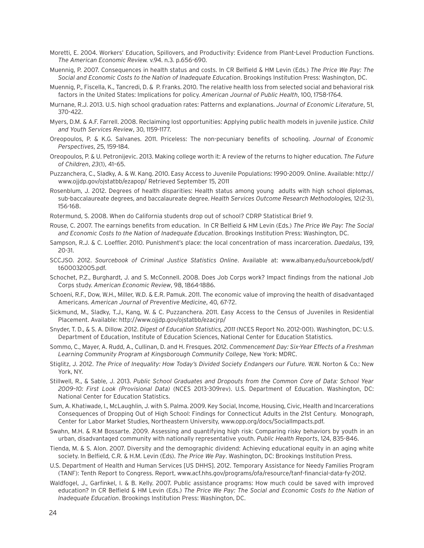- Moretti, E. 2004. Workers' Education, Spillovers, and Productivity: Evidence from Plant-Level Production Functions. *The American Economic Review.* v.94. n.3. p.656-690.
- Muennig, P. 2007. Consequences in health status and costs. In CR Belfield & HM Levin (Eds.) *The Price We Pay: The Social and Economic Costs to the Nation of Inadequate Education*. Brookings Institution Press: Washington, DC.
- Muennig, P., Fiscella, K., Tancredi, D. & P. Franks. 2010. The relative health loss from selected social and behavioral risk factors in the United States: Implications for policy. *American Journal of Public Health*, 100, 1758-1764.
- Murnane, R.J. 2013. U.S. high school graduation rates: Patterns and explanations. *Journal of Economic Literature*, 51, 370-422.
- Myers, D.M. & A.F. Farrell. 2008. Reclaiming lost opportunities: Applying public health models in juvenile justice. *Child and Youth Services Review*, 30, 1159-1177.
- Oreopoulos, P. & K.G. Salvanes. 2011. Priceless: The non-pecuniary benefits of schooling. *Journal of Economic Perspectives*, 25, 159-184.
- Oreopoulos, P. & U. Petronijevic. 2013. Making college worth it: A review of the returns to higher education. *The Future of Children*, *23*(1), 41–65.
- Puzzanchera, C., Sladky, A. & W. Kang. 2010. Easy Access to Juvenile Populations: 1990-2009. Online. Available: http:// www.ojjdp.gov/ojstatbb/ezapop/ Retrieved September 15, 2011
- Rosenblum, J. 2012. Degrees of health disparities: Health status among young adults with high school diplomas, sub-baccalaureate degrees, and baccalaureate degree. *Health Services Outcome Research Methodologies,* 12(2-3), 156-168.
- Rotermund, S. 2008. When do California students drop out of school? CDRP Statistical Brief 9.
- Rouse, C. 2007. The earnings benefits from education. In CR Belfield & HM Levin (Eds.) *The Price We Pay: The Social and Economic Costs to the Nation of Inadequate Education*. Brookings Institution Press: Washington, DC.
- Sampson, R.J. & C. Loeffler. 2010. Punishment's place: the local concentration of mass incarceration. *Daedalus*, 139, 20-31.
- SCCJSO. 2012. *Sourcebook of Criminal Justice Statistics Online*. Available at: www.albany.edu/sourcebook/pdf/ t600032005.pdf.
- Schochet, P.Z., Burghardt, J. and S. McConnell. 2008. Does Job Corps work? Impact findings from the national Job Corps study. *American Economic Review*, 98, 1864-1886.
- Schoeni, R.F., Dow, W.H., Miller, W.D. & E.R. Pamuk. 2011. The economic value of improving the health of disadvantaged Americans. *American Journal of Preventive Medicine*, 40, 67-72.
- Sickmund, M., Sladky, T.J., Kang, W. & C. Puzzanchera. 2011. Easy Access to the Census of Juveniles in Residential Placement. Available: http://www.ojjdp.gov/ojstatbb/ezacjrp/
- Snyder, T. D., & S. A. Dillow. 2012. *Digest of Education Statistics, 2011* (NCES Report No. 2012-001). Washington, DC: U.S. Department of Education, Institute of Education Sciences, National Center for Education Statistics.
- Sommo, C., Mayer, A. Rudd, A., Cullinan, D. and H. Fresques*.* 2012. *Commencement Day: Six-Year Effects of a Freshman Learning Community Program at Kingsborough Community College*, New York: MDRC.
- Stiglitz, J. 2012. *The Price of Inequality: How Today's Divided Society Endangers our Future.* W.W. Norton & Co.: New York, NY.
- Stillwell, R., & Sable, J. 2013. *Public School Graduates and Dropouts from the Common Core of Data: School Year 2009–10: First Look (Provisional Data)* (NCES 2013-309rev). U.S. Department of Education. Washington, DC: National Center for Education Statistics.
- Sum, A. Khatiwade, I., McLaughlin, J. with S. Palma. 2009. Key Social, Income, Housing, Civic, Health and Incarcerations Consequences of Dropping Out of High School: Findings for Connecticut Adults in the 21st Century. Monograph, Center for Labor Market Studies, Northeastern University, www.opp.org/docs/SocialImpacts.pdf.
- Swahn, M.H. & R.M Bossarte. 2009. Assessing and quantifying high risk: Comparing risky behaviors by youth in an urban, disadvantaged community with nationally representative youth. *Public Health Reports*, 124, 835-846.
- Tienda, M. & S. Alon. 2007. Diversity and the demographic dividend: Achieving educational equity in an aging white society. In Belfield, C.R. & H.M. Levin (Eds). *The Price We Pay*. Washington, DC: Brookings Institution Press.
- U.S. Department of Health and Human Services [US DHHS]. 2012. Temporary Assistance for Needy Families Program (TANF): Tenth Report to Congress. Report, www.acf.hhs.gov/programs/ofa/resource/tanf-financial-data-fy-2012.
- Waldfogel, J., Garfinkel, I. & B. Kelly. 2007. Public assistance programs: How much could be saved with improved education? In CR Belfield & HM Levin (Eds.) *The Price We Pay: The Social and Economic Costs to the Nation of Inadequate Education*. Brookings Institution Press: Washington, DC.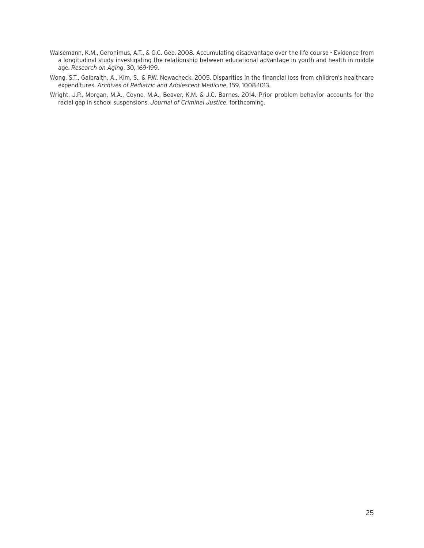- Walsemann, K.M., Geronimus, A.T., & G.C. Gee. 2008. Accumulating disadvantage over the life course Evidence from a longitudinal study investigating the relationship between educational advantage in youth and health in middle age. *Research on Aging*, 30, 169-199.
- Wong, S.T., Galbraith, A., Kim, S., & P.W. Newacheck. 2005. Disparities in the financial loss from children's healthcare expenditures. *Archives of Pediatric and Adolescent Medicine*, 159*,* 1008-1013.
- Wright, J.P., Morgan, M.A., Coyne, M.A., Beaver, K.M. & J.C. Barnes. 2014. Prior problem behavior accounts for the racial gap in school suspensions. *Journal of Criminal Justice*, forthcoming.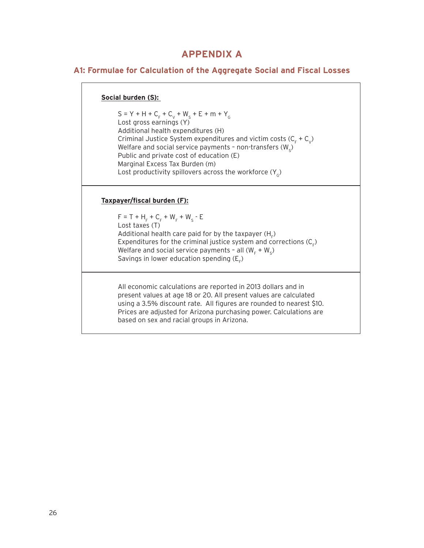## **APPENDIX A**

#### **A1: Formulae for Calculation of the Aggregate Social and Fiscal Losses**

#### **Social burden (S):**

 $S = Y + H + C<sub>F</sub> + C<sub>V</sub> + W<sub>S</sub> + E + m + Y<sub>G</sub>$ Lost gross earnings (Y) Additional health expenditures (H) Criminal Justice System expenditures and victim costs  $(C_F + C_V)$ Welfare and social service payments - non-transfers  $(W_s)$ Public and private cost of education (E) Marginal Excess Tax Burden (m) Lost productivity spillovers across the workforce  $(Y_c)$ 

#### **Taxpayer/fiscal burden (F):**

 $F = T + H_F + C_F + W_F + W_S - E$ Lost taxes (T) Additional health care paid for by the taxpayer  $(H_F)$ Expenditures for the criminal justice system and corrections  $(C_F)$ Welfare and social service payments - all  $(W_F + W_S)$ Savings in lower education spending  $(E_F^-)$ 

All economic calculations are reported in 2013 dollars and in present values at age 18 or 20. All present values are calculated using a 3.5% discount rate. All figures are rounded to nearest \$10. Prices are adjusted for Arizona purchasing power. Calculations are based on sex and racial groups in Arizona.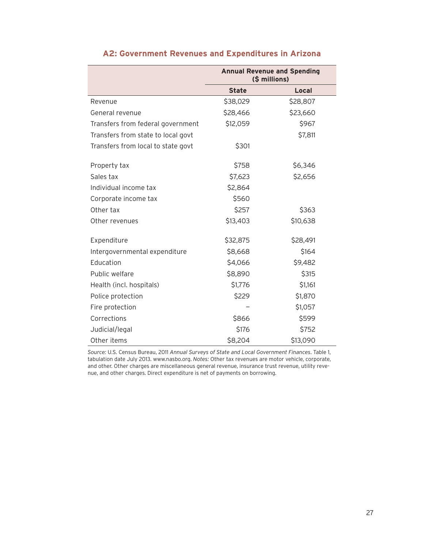|                                    |              | <b>Annual Revenue and Spending</b><br>(\$ millions) |
|------------------------------------|--------------|-----------------------------------------------------|
|                                    | <b>State</b> | Local                                               |
| Revenue                            | \$38,029     | \$28,807                                            |
| General revenue                    | \$28,466     | \$23,660                                            |
| Transfers from federal government  | \$12,059     | \$967                                               |
| Transfers from state to local govt |              | \$7,811                                             |
| Transfers from local to state govt | \$301        |                                                     |
| Property tax                       | \$758        | \$6,346                                             |
| Sales tax                          | \$7,623      | \$2,656                                             |
| Individual income tax              | \$2,864      |                                                     |
| Corporate income tax               | \$560        |                                                     |
| Other tax                          | \$257        | \$363                                               |
| Other revenues                     | \$13,403     | \$10,638                                            |
| Expenditure                        | \$32,875     | \$28,491                                            |
| Intergovernmental expenditure      | \$8,668      | \$164                                               |
| Education                          | \$4,066      | \$9,482                                             |
| Public welfare                     | \$8,890      | \$315                                               |
| Health (incl. hospitals)           | \$1,776      | \$1,161                                             |
| Police protection                  | \$229        | \$1,870                                             |
| Fire protection                    |              | \$1,057                                             |
| Corrections                        | \$866        | \$599                                               |
| Judicial/legal                     | \$176        | \$752                                               |
| Other items                        | \$8,204      | \$13,090                                            |

#### **A2: Government Revenues and Expenditures in Arizona**

*Source:* U.S. Census Bureau, 2011 *Annual Surveys of State and Local Government Finances*. Table 1, tabulation date July 2013. www.nasbo.org. *Notes:* Other tax revenues are motor vehicle, corporate, and other. Other charges are miscellaneous general revenue, insurance trust revenue, utility revenue, and other charges. Direct expenditure is net of payments on borrowing.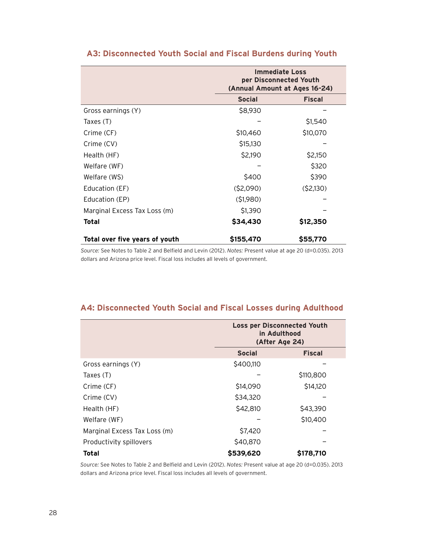|                                |               | <b>Immediate Loss</b><br>per Disconnected Youth<br>(Annual Amount at Ages 16-24) |
|--------------------------------|---------------|----------------------------------------------------------------------------------|
|                                | <b>Social</b> | <b>Fiscal</b>                                                                    |
| Gross earnings (Y)             | \$8,930       |                                                                                  |
| Taxes (T)                      |               | \$1,540                                                                          |
| Crime (CF)                     | \$10,460      | \$10,070                                                                         |
| Crime (CV)                     | \$15,130      |                                                                                  |
| Health (HF)                    | \$2,190       | \$2,150                                                                          |
| Welfare (WF)                   |               | \$320                                                                            |
| Welfare (WS)                   | \$400         | \$390                                                                            |
| Education (EF)                 | (52,090)      | (52,130)                                                                         |
| Education (EP)                 | (51,980)      |                                                                                  |
| Marginal Excess Tax Loss (m)   | \$1,390       |                                                                                  |
| Total                          | \$34,430      | \$12,350                                                                         |
| Total over five years of youth | \$155,470     | \$55,770                                                                         |

#### **A3: Disconnected Youth Social and Fiscal Burdens during Youth**

*Source:* See Notes to Table 2 and Belfield and Levin (2012). *Notes:* Present value at age 20 (d=0.035). 2013 dollars and Arizona price level. Fiscal loss includes all levels of government.

|                              |               | <b>Loss per Disconnected Youth</b><br>in Adulthood<br>(After Age 24) |
|------------------------------|---------------|----------------------------------------------------------------------|
|                              | <b>Social</b> | <b>Fiscal</b>                                                        |
| Gross earnings (Y)           | \$400,110     |                                                                      |
| Taxes (T)                    |               | \$110,800                                                            |
| Crime (CF)                   | \$14,090      | \$14,120                                                             |
| Crime (CV)                   | \$34,320      |                                                                      |
| Health (HF)                  | \$42,810      | \$43,390                                                             |
| Welfare (WF)                 |               | \$10,400                                                             |
| Marginal Excess Tax Loss (m) | \$7,420       |                                                                      |
| Productivity spillovers      | \$40,870      |                                                                      |
| Total                        | \$539,620     | \$178,710                                                            |

#### **A4: Disconnected Youth Social and Fiscal Losses during Adulthood**

*Source:* See Notes to Table 2 and Belfield and Levin (2012). *Notes:* Present value at age 20 (d=0.035). 2013 dollars and Arizona price level. Fiscal loss includes all levels of government.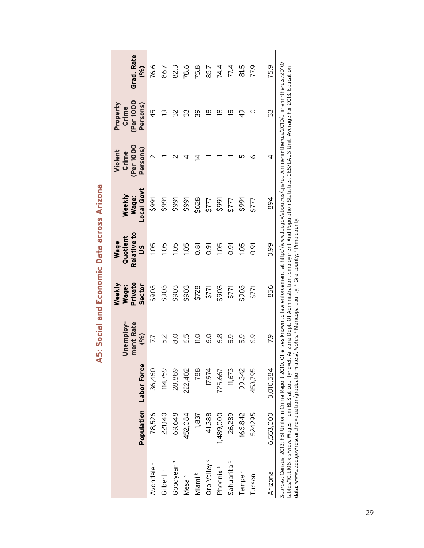|                                                          |           | Population Labor Force | ment Rate<br>Unemploy<br>(96)                                                                                                                                                                                                                                                                      | Private<br>Weekly<br><b>Sector</b><br><b>Wage:</b> | Relative to<br>Quotient<br>Wage<br><u>ო</u>                                                                       | Local Govt<br>Weekly<br>Wage: | (Per 1000<br>Persons)<br>Violent<br>Crime | (Per 1000<br>Property<br>Persons)<br>Crime | Grad. Rate<br>(%) |
|----------------------------------------------------------|-----------|------------------------|----------------------------------------------------------------------------------------------------------------------------------------------------------------------------------------------------------------------------------------------------------------------------------------------------|----------------------------------------------------|-------------------------------------------------------------------------------------------------------------------|-------------------------------|-------------------------------------------|--------------------------------------------|-------------------|
| ო<br>Avondale                                            | 78,526    | 36,460                 | 77                                                                                                                                                                                                                                                                                                 | \$903                                              | 1.05                                                                                                              | \$991                         |                                           | 45                                         | 76.6              |
| Gilbert <sup>a</sup>                                     | 221,140   | 114,759                | 5.2                                                                                                                                                                                                                                                                                                | \$903                                              | 1.05                                                                                                              | \$991                         |                                           | ₽                                          | 86.7              |
| Goodyear <sup>a</sup>                                    | 69,648    | 28,889                 | ි.<br>ග                                                                                                                                                                                                                                                                                            | \$903                                              | 105                                                                                                               | \$991                         |                                           | 32                                         | 82.3              |
| Mesa <sup>a</sup>                                        | 452,084   | 222,402                | 6.5                                                                                                                                                                                                                                                                                                | \$903                                              | 1.05                                                                                                              | \$991                         |                                           | က္က                                        | 78.6              |
| Miami b                                                  | 1,837     | 788                    | $\frac{0}{11}$                                                                                                                                                                                                                                                                                     | \$728                                              | 0.81                                                                                                              | \$628                         | ₹                                         | 39                                         | 75.8              |
| Oro Valley c                                             | 41,388    | 17,974                 | С.<br>О                                                                                                                                                                                                                                                                                            | \$771                                              | <b>6.0</b>                                                                                                        | 5777                          |                                           | ഇ                                          | 85.7              |
| Phoenix <sup>a</sup>                                     | 1,489,000 | 725,667                | 6.8                                                                                                                                                                                                                                                                                                | \$903                                              | 1.05                                                                                                              | \$991                         |                                           | ഇ                                          | 74.4              |
| Sahuarita <sup>c</sup>                                   | 26,289    | 11,673                 | 5.9                                                                                                                                                                                                                                                                                                | \$771                                              | 0.91                                                                                                              | 5777                          |                                           | 15                                         | 77.4              |
| Tempe <sup>a</sup>                                       | 166,842   | 99,342                 | 5.9                                                                                                                                                                                                                                                                                                | \$903                                              | 105                                                                                                               | \$991                         |                                           | QÞ                                         | 81.5              |
| Tucson <sup>c</sup>                                      | 524295    | 453,795                | ი<br>ბ                                                                                                                                                                                                                                                                                             | 5771                                               | lé?                                                                                                               | 5777                          | Ω                                         | 0                                          | 77.9              |
| Arizona                                                  | 6,553,000 | 3,010,584              | 79                                                                                                                                                                                                                                                                                                 | 856                                                | 0.99                                                                                                              | 894                           | 4                                         | 33                                         | 75.9              |
| tables/10tbl08.xls/view. Wages from BLS at county-level. |           |                        | Sources: Census, 2013; FBI Uniform Crime Report 2010. Offenses known to law enforcement, at http://www.fbi.gov/about-us/cjis/ucr/crime-in-the-u.s/2010/crime-in-the-u.s.-2010/<br>data: www.azed.gov/research-evaluation/graduation-rates/. Notes: • Maricopa county; • Gila county; • Pima county |                                                    | Arizona Dept. Of Administration, Employment And Population Statistics, CES/LAUS Unit. Average For 2013. Education |                               |                                           |                                            |                   |

| ı           |
|-------------|
| l<br>C<br>I |
| J           |
| J           |
| ί<br>ă      |
| C           |
| c           |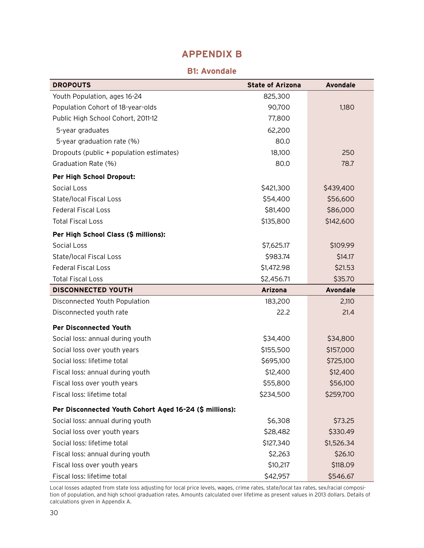### **APPENDIX B**

#### **B1: Avondale**

| <b>DROPOUTS</b>                                         | <b>State of Arizona</b> | <b>Avondale</b> |
|---------------------------------------------------------|-------------------------|-----------------|
| Youth Population, ages 16-24                            | 825,300                 |                 |
| Population Cohort of 18-year-olds                       | 90,700                  | 1,180           |
| Public High School Cohort, 2011-12                      | 77,800                  |                 |
| 5-year graduates                                        | 62,200                  |                 |
| 5-year graduation rate (%)                              | 80.0                    |                 |
| Dropouts (public + population estimates)                | 18,100                  | 250             |
| Graduation Rate (%)                                     | 80.0                    | 78.7            |
| <b>Per High School Dropout:</b>                         |                         |                 |
| <b>Social Loss</b>                                      | \$421,300               | \$439,400       |
| <b>State/local Fiscal Loss</b>                          | \$54,400                | \$56,600        |
| <b>Federal Fiscal Loss</b>                              | \$81,400                | \$86,000        |
| <b>Total Fiscal Loss</b>                                | \$135,800               | \$142,600       |
| Per High School Class (\$ millions):                    |                         |                 |
| <b>Social Loss</b>                                      | \$7,625.17              | \$109.99        |
| <b>State/local Fiscal Loss</b>                          | \$983.74                | \$14.17         |
| <b>Federal Fiscal Loss</b>                              | \$1,472.98              | \$21.53         |
| <b>Total Fiscal Loss</b>                                | \$2,456.71              | \$35.70         |
| <b>DISCONNECTED YOUTH</b>                               | <b>Arizona</b>          | <b>Avondale</b> |
| Disconnected Youth Population                           | 183,200                 | 2,110           |
| Disconnected youth rate                                 | 22.2                    | 21.4            |
| <b>Per Disconnected Youth</b>                           |                         |                 |
| Social loss: annual during youth                        | \$34,400                | \$34,800        |
| Social loss over youth years                            | \$155,500               | \$157,000       |
| Social loss: lifetime total                             | \$695,100               | \$725,100       |
| Fiscal loss: annual during youth                        | \$12,400                | \$12,400        |
| Fiscal loss over youth years                            | \$55,800                | \$56,100        |
| Fiscal loss: lifetime total                             | \$234,500               | \$259,700       |
| Per Disconnected Youth Cohort Aged 16-24 (\$ millions): |                         |                 |
| Social loss: annual during youth                        | \$6,308                 | \$73.25         |
| Social loss over youth years                            | \$28,482                | \$330.49        |
| Social loss: lifetime total                             | \$127,340               | \$1,526.34      |
| Fiscal loss: annual during youth                        | \$2,263                 | \$26.10         |
| Fiscal loss over youth years                            | \$10,217                | \$118.09        |
| Fiscal loss: lifetime total                             | \$42,957                | \$546.67        |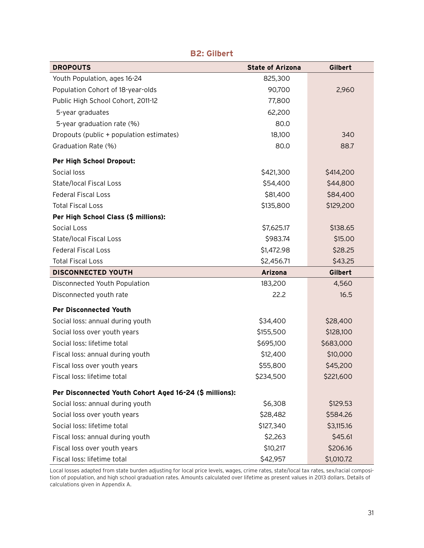| <b>DROPOUTS</b>                                         | <b>State of Arizona</b> | Gilbert    |
|---------------------------------------------------------|-------------------------|------------|
| Youth Population, ages 16-24                            | 825,300                 |            |
| Population Cohort of 18-year-olds                       | 90,700                  | 2,960      |
| Public High School Cohort, 2011-12                      | 77,800                  |            |
| 5-year graduates                                        | 62,200                  |            |
| 5-year graduation rate (%)                              | 80.0                    |            |
| Dropouts (public + population estimates)                | 18,100                  | 340        |
| Graduation Rate (%)                                     | 80.0                    | 88.7       |
| Per High School Dropout:                                |                         |            |
| Social loss                                             | \$421,300               | \$414,200  |
| <b>State/local Fiscal Loss</b>                          | \$54,400                | \$44,800   |
| <b>Federal Fiscal Loss</b>                              | \$81,400                | \$84,400   |
| <b>Total Fiscal Loss</b>                                | \$135,800               | \$129,200  |
| Per High School Class (\$ millions):                    |                         |            |
| Social Loss                                             | \$7,625.17              | \$138.65   |
| <b>State/local Fiscal Loss</b>                          | \$983.74                | \$15.00    |
| <b>Federal Fiscal Loss</b>                              | \$1,472.98              | \$28.25    |
| <b>Total Fiscal Loss</b>                                | \$2,456.71              | \$43.25    |
| <b>DISCONNECTED YOUTH</b>                               | <b>Arizona</b>          | Gilbert    |
| Disconnected Youth Population                           | 183,200                 | 4,560      |
| Disconnected youth rate                                 | 22.2                    | 16.5       |
| <b>Per Disconnected Youth</b>                           |                         |            |
| Social loss: annual during youth                        | \$34,400                | \$28,400   |
| Social loss over youth years                            | \$155,500               | \$128,100  |
| Social loss: lifetime total                             | \$695,100               | \$683,000  |
| Fiscal loss: annual during youth                        | \$12,400                | \$10,000   |
| Fiscal loss over youth years                            | \$55,800                | \$45,200   |
| Fiscal loss: lifetime total                             | \$234,500               | \$221,600  |
| Per Disconnected Youth Cohort Aged 16-24 (\$ millions): |                         |            |
| Social loss: annual during youth                        | \$6,308                 | \$129.53   |
| Social loss over youth years                            | \$28,482                | \$584.26   |
| Social loss: lifetime total                             | \$127,340               | \$3,115.16 |
| Fiscal loss: annual during youth                        | \$2,263                 | \$45.61    |
| Fiscal loss over youth years                            | \$10,217                | \$206.16   |
| Fiscal loss: lifetime total                             | \$42,957                | \$1,010.72 |

# **B2: Gilbert**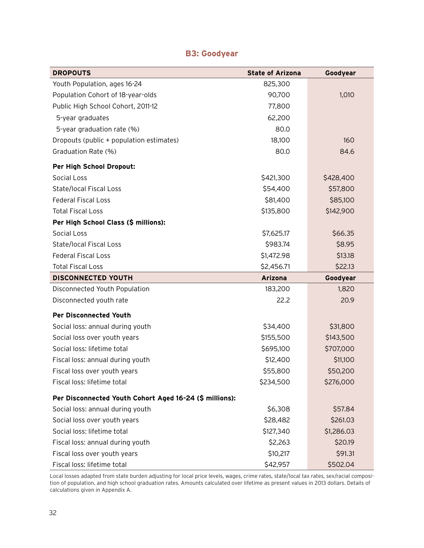| <b>DROPOUTS</b>                                         | <b>State of Arizona</b> | Goodyear   |
|---------------------------------------------------------|-------------------------|------------|
| Youth Population, ages 16-24                            | 825,300                 |            |
| Population Cohort of 18-year-olds                       | 90,700                  | 1,010      |
| Public High School Cohort, 2011-12                      | 77,800                  |            |
| 5-year graduates                                        | 62,200                  |            |
| 5-year graduation rate (%)                              | 80.0                    |            |
| Dropouts (public + population estimates)                | 18,100                  | 160        |
| Graduation Rate (%)                                     | 80.0                    | 84.6       |
| Per High School Dropout:                                |                         |            |
| <b>Social Loss</b>                                      | \$421,300               | \$428,400  |
| <b>State/local Fiscal Loss</b>                          | \$54,400                | \$57,800   |
| <b>Federal Fiscal Loss</b>                              | \$81,400                | \$85,100   |
| <b>Total Fiscal Loss</b>                                | \$135,800               | \$142,900  |
| Per High School Class (\$ millions):                    |                         |            |
| Social Loss                                             | \$7,625.17              | \$66.35    |
| <b>State/local Fiscal Loss</b>                          | \$983.74                | \$8.95     |
| <b>Federal Fiscal Loss</b>                              | \$1,472.98              | \$13.18    |
| <b>Total Fiscal Loss</b>                                | \$2,456.71              | \$22.13    |
| <b>DISCONNECTED YOUTH</b>                               | Arizona                 | Goodyear   |
| Disconnected Youth Population                           | 183,200                 | 1,820      |
| Disconnected youth rate                                 | 22.2                    | 20.9       |
| <b>Per Disconnected Youth</b>                           |                         |            |
| Social loss: annual during youth                        | \$34,400                | \$31,800   |
| Social loss over youth years                            | \$155,500               | \$143,500  |
| Social loss: lifetime total                             | \$695,100               | \$707,000  |
| Fiscal loss: annual during youth                        | \$12,400                | \$11,100   |
| Fiscal loss over youth years                            | \$55,800                | \$50,200   |
| Fiscal loss: lifetime total                             | \$234,500               | \$276,000  |
| Per Disconnected Youth Cohort Aged 16-24 (\$ millions): |                         |            |
| Social loss: annual during youth                        | \$6,308                 | \$57.84    |
| Social loss over youth years                            | \$28,482                | \$261.03   |
| Social loss: lifetime total                             | \$127,340               | \$1,286.03 |
| Fiscal loss: annual during youth                        | \$2,263                 | \$20.19    |
| Fiscal loss over youth years                            | \$10,217                | \$91.31    |
| Fiscal loss: lifetime total                             | \$42,957                | \$502.04   |

#### **B3: Goodyear**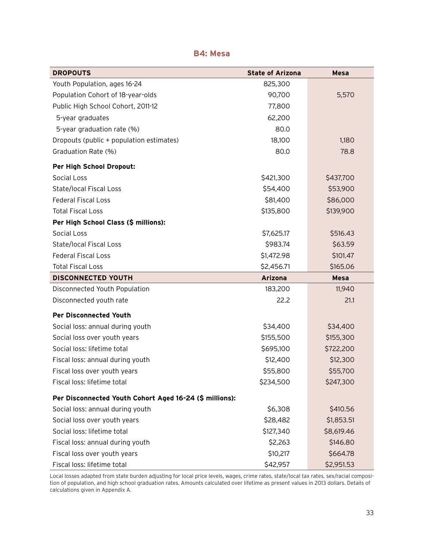| <b>DROPOUTS</b>                                         | <b>State of Arizona</b> | <b>Mesa</b> |
|---------------------------------------------------------|-------------------------|-------------|
| Youth Population, ages 16-24                            | 825,300                 |             |
| Population Cohort of 18-year-olds                       | 90,700                  | 5,570       |
| Public High School Cohort, 2011-12                      | 77,800                  |             |
| 5-year graduates                                        | 62,200                  |             |
| 5-year graduation rate (%)                              | 80.0                    |             |
| Dropouts (public + population estimates)                | 18,100                  | 1,180       |
| Graduation Rate (%)                                     | 80.0                    | 78.8        |
| Per High School Dropout:                                |                         |             |
| <b>Social Loss</b>                                      | \$421,300               | \$437,700   |
| <b>State/local Fiscal Loss</b>                          | \$54,400                | \$53,900    |
| <b>Federal Fiscal Loss</b>                              | \$81,400                | \$86,000    |
| <b>Total Fiscal Loss</b>                                | \$135,800               | \$139,900   |
| Per High School Class (\$ millions):                    |                         |             |
| <b>Social Loss</b>                                      | \$7,625.17              | \$516.43    |
| <b>State/local Fiscal Loss</b>                          | \$983.74                | \$63.59     |
| <b>Federal Fiscal Loss</b>                              | \$1,472.98              | \$101.47    |
| <b>Total Fiscal Loss</b>                                | \$2,456.71              | \$165.06    |
| <b>DISCONNECTED YOUTH</b>                               | Arizona                 | <b>Mesa</b> |
| Disconnected Youth Population                           | 183,200                 | 11,940      |
| Disconnected youth rate                                 | 22.2                    | 21.1        |
| <b>Per Disconnected Youth</b>                           |                         |             |
| Social loss: annual during youth                        | \$34,400                | \$34,400    |
| Social loss over youth years                            | \$155,500               | \$155,300   |
| Social loss: lifetime total                             | \$695,100               | \$722,200   |
| Fiscal loss: annual during youth                        | \$12,400                | \$12,300    |
| Fiscal loss over youth years                            | \$55,800                | \$55,700    |
| Fiscal loss: lifetime total                             | \$234,500               | \$247,300   |
| Per Disconnected Youth Cohort Aged 16-24 (\$ millions): |                         |             |
| Social loss: annual during youth                        | \$6,308                 | \$410.56    |
| Social loss over youth years                            | \$28,482                | \$1,853.51  |
| Social loss: lifetime total                             | \$127,340               | \$8,619.46  |
| Fiscal loss: annual during youth                        | \$2,263                 | \$146.80    |
| Fiscal loss over youth years                            | \$10,217                | \$664.78    |
| Fiscal loss: lifetime total                             | \$42,957                | \$2,951.53  |

#### **B4: Mesa**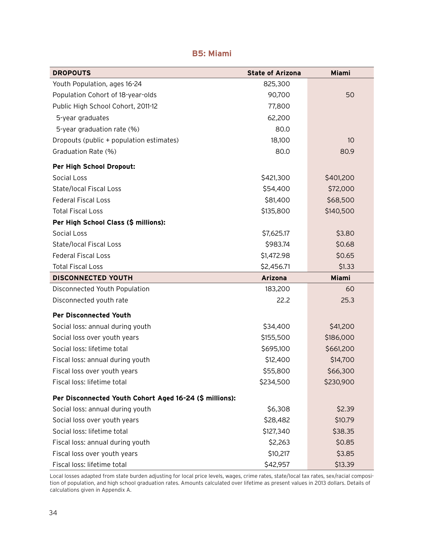| <b>DROPOUTS</b>                                         | <b>State of Arizona</b> | Miami        |
|---------------------------------------------------------|-------------------------|--------------|
| Youth Population, ages 16-24                            | 825,300                 |              |
| Population Cohort of 18-year-olds                       | 90,700                  | 50           |
| Public High School Cohort, 2011-12                      | 77,800                  |              |
| 5-year graduates                                        | 62,200                  |              |
| 5-year graduation rate (%)                              | 80.0                    |              |
| Dropouts (public + population estimates)                | 18,100                  | 10           |
| Graduation Rate (%)                                     | 80.0                    | 80.9         |
| Per High School Dropout:                                |                         |              |
| <b>Social Loss</b>                                      | \$421,300               | \$401,200    |
| <b>State/local Fiscal Loss</b>                          | \$54,400                | \$72,000     |
| <b>Federal Fiscal Loss</b>                              | \$81,400                | \$68,500     |
| <b>Total Fiscal Loss</b>                                | \$135,800               | \$140,500    |
| Per High School Class (\$ millions):                    |                         |              |
| Social Loss                                             | \$7,625.17              | \$3.80       |
| <b>State/local Fiscal Loss</b>                          | \$983.74                | \$0.68       |
| <b>Federal Fiscal Loss</b>                              | \$1,472.98              | \$0.65       |
| <b>Total Fiscal Loss</b>                                | \$2,456.71              | \$1.33       |
| <b>DISCONNECTED YOUTH</b>                               | <b>Arizona</b>          | <b>Miami</b> |
| Disconnected Youth Population                           | 183,200                 | 60           |
| Disconnected youth rate                                 | 22.2                    | 25.3         |
| <b>Per Disconnected Youth</b>                           |                         |              |
| Social loss: annual during youth                        | \$34,400                | \$41,200     |
| Social loss over youth years                            | \$155,500               | \$186,000    |
| Social loss: lifetime total                             | \$695,100               | \$661,200    |
| Fiscal loss: annual during youth                        | \$12,400                | \$14,700     |
| Fiscal loss over youth years                            | \$55,800                | \$66,300     |
| Fiscal loss: lifetime total                             | \$234,500               | \$230,900    |
| Per Disconnected Youth Cohort Aged 16-24 (\$ millions): |                         |              |
| Social loss: annual during youth                        | \$6,308                 | \$2.39       |
| Social loss over youth years                            | \$28,482                | \$10.79      |
| Social loss: lifetime total                             | \$127,340               | \$38.35      |
| Fiscal loss: annual during youth                        | \$2,263                 | \$0.85       |
| Fiscal loss over youth years                            | \$10,217                | \$3.85       |
| Fiscal loss: lifetime total                             | \$42,957                | \$13.39      |

#### **B5: Miami**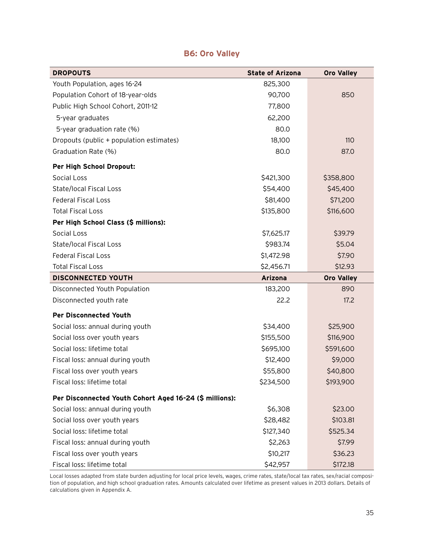| <b>DROPOUTS</b>                                         | <b>State of Arizona</b> | <b>Oro Valley</b> |
|---------------------------------------------------------|-------------------------|-------------------|
| Youth Population, ages 16-24                            | 825,300                 |                   |
| Population Cohort of 18-year-olds                       | 90,700                  | 850               |
| Public High School Cohort, 2011-12                      | 77,800                  |                   |
| 5-year graduates                                        | 62,200                  |                   |
| 5-year graduation rate (%)                              | 80.0                    |                   |
| Dropouts (public + population estimates)                | 18,100                  | 110               |
| Graduation Rate (%)                                     | 80.0                    | 87.0              |
| Per High School Dropout:                                |                         |                   |
| <b>Social Loss</b>                                      | \$421,300               | \$358,800         |
| <b>State/local Fiscal Loss</b>                          | \$54,400                | \$45,400          |
| <b>Federal Fiscal Loss</b>                              | \$81,400                | \$71,200          |
| <b>Total Fiscal Loss</b>                                | \$135,800               | \$116,600         |
| Per High School Class (\$ millions):                    |                         |                   |
| Social Loss                                             | \$7,625.17              | \$39.79           |
| <b>State/local Fiscal Loss</b>                          | \$983.74                | \$5.04            |
| <b>Federal Fiscal Loss</b>                              | \$1,472.98              | \$7.90            |
| <b>Total Fiscal Loss</b>                                | \$2,456.71              | \$12.93           |
| <b>DISCONNECTED YOUTH</b>                               | <b>Arizona</b>          | <b>Oro Valley</b> |
| Disconnected Youth Population                           | 183,200                 | 890               |
| Disconnected youth rate                                 | 22.2                    | 17.2              |
| <b>Per Disconnected Youth</b>                           |                         |                   |
| Social loss: annual during youth                        | \$34,400                | \$25,900          |
| Social loss over youth years                            | \$155,500               | \$116,900         |
| Social loss: lifetime total                             | \$695,100               | \$591,600         |
| Fiscal loss: annual during youth                        | \$12,400                | \$9,000           |
| Fiscal loss over youth years                            | \$55,800                | \$40,800          |
| Fiscal loss: lifetime total                             | \$234,500               | \$193,900         |
| Per Disconnected Youth Cohort Aged 16-24 (\$ millions): |                         |                   |
| Social loss: annual during youth                        | \$6,308                 | \$23.00           |
| Social loss over youth years                            | \$28,482                | \$103.81          |
| Social loss: lifetime total                             | \$127,340               | \$525.34          |
| Fiscal loss: annual during youth                        | \$2,263                 | \$7.99            |
| Fiscal loss over youth years                            | \$10,217                | \$36.23           |
| Fiscal loss: lifetime total                             | \$42,957                | \$172.18          |

#### **B6: Oro Valley**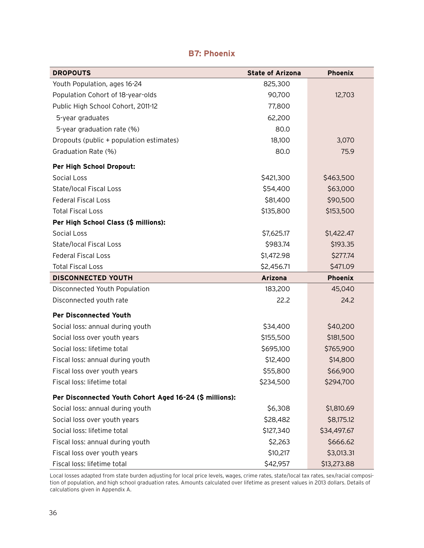| <b>DROPOUTS</b>                                         | <b>State of Arizona</b> | <b>Phoenix</b> |
|---------------------------------------------------------|-------------------------|----------------|
| Youth Population, ages 16-24                            | 825,300                 |                |
| Population Cohort of 18-year-olds                       | 90,700                  | 12,703         |
| Public High School Cohort, 2011-12                      | 77,800                  |                |
| 5-year graduates                                        | 62,200                  |                |
| 5-year graduation rate (%)                              | 80.0                    |                |
| Dropouts (public + population estimates)                | 18,100                  | 3,070          |
| Graduation Rate (%)                                     | 80.0                    | 75.9           |
| <b>Per High School Dropout:</b>                         |                         |                |
| <b>Social Loss</b>                                      | \$421,300               | \$463,500      |
| <b>State/local Fiscal Loss</b>                          | \$54,400                | \$63,000       |
| <b>Federal Fiscal Loss</b>                              | \$81,400                | \$90,500       |
| <b>Total Fiscal Loss</b>                                | \$135,800               | \$153,500      |
| Per High School Class (\$ millions):                    |                         |                |
| <b>Social Loss</b>                                      | \$7,625.17              | \$1,422.47     |
| <b>State/local Fiscal Loss</b>                          | \$983.74                | \$193.35       |
| <b>Federal Fiscal Loss</b>                              | \$1,472.98              | \$277.74       |
| <b>Total Fiscal Loss</b>                                | \$2,456.71              | \$471.09       |
| <b>DISCONNECTED YOUTH</b>                               | <b>Arizona</b>          | <b>Phoenix</b> |
| Disconnected Youth Population                           | 183,200                 | 45,040         |
| Disconnected youth rate                                 | 22.2                    | 24.2           |
| <b>Per Disconnected Youth</b>                           |                         |                |
| Social loss: annual during youth                        | \$34,400                | \$40,200       |
| Social loss over youth years                            | \$155,500               | \$181,500      |
| Social loss: lifetime total                             | \$695,100               | \$765,900      |
| Fiscal loss: annual during youth                        | \$12,400                | \$14,800       |
| Fiscal loss over youth years                            | \$55,800                | \$66,900       |
| Fiscal loss: lifetime total                             | \$234,500               | \$294,700      |
| Per Disconnected Youth Cohort Aged 16-24 (\$ millions): |                         |                |
| Social loss: annual during youth                        | \$6,308                 | \$1,810.69     |
| Social loss over youth years                            | \$28,482                | \$8,175.12     |
| Social loss: lifetime total                             | \$127,340               | \$34,497.67    |
| Fiscal loss: annual during youth                        | \$2,263                 | \$666.62       |
| Fiscal loss over youth years                            | \$10,217                | \$3,013.31     |
| Fiscal loss: lifetime total                             | \$42,957                | \$13,273.88    |

#### **B7: Phoenix**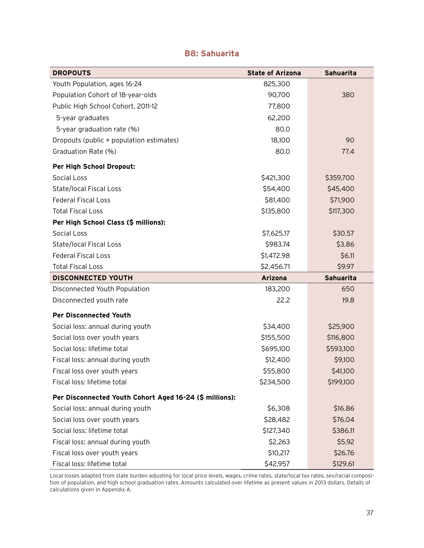| <b>DROPOUTS</b>                                         | <b>State of Arizona</b> | Sahuarita |
|---------------------------------------------------------|-------------------------|-----------|
| Youth Population, ages 16-24                            | 825,300                 |           |
| Population Cohort of 18-year-olds                       | 90,700                  | 380       |
| Public High School Cohort, 2011-12                      | 77,800                  |           |
| 5-year graduates                                        | 62,200                  |           |
| 5-year graduation rate (%)                              | 80.0                    |           |
| Dropouts (public + population estimates)                | 18,100                  | 90        |
| Graduation Rate (%)                                     | 80.0                    | 77.4      |
| Per High School Dropout:                                |                         |           |
| <b>Social Loss</b>                                      | \$421,300               | \$359,700 |
| <b>State/local Fiscal Loss</b>                          | \$54,400                | \$45,400  |
| <b>Federal Fiscal Loss</b>                              | \$81,400                | \$71,900  |
| <b>Total Fiscal Loss</b>                                | \$135,800               | \$117,300 |
| Per High School Class (\$ millions):                    |                         |           |
| Social Loss                                             | \$7,625.17              | \$30.57   |
| <b>State/local Fiscal Loss</b>                          | \$983.74                | \$3.86    |
| <b>Federal Fiscal Loss</b>                              | \$1,472.98              | \$6.11    |
| <b>Total Fiscal Loss</b>                                | \$2,456.71              | \$9.97    |
| <b>DISCONNECTED YOUTH</b>                               | <b>Arizona</b>          | Sahuarita |
| Disconnected Youth Population                           | 183,200                 | 650       |
| Disconnected youth rate                                 | 22.2                    | 19.8      |
| <b>Per Disconnected Youth</b>                           |                         |           |
| Social loss: annual during youth                        | \$34,400                | \$25,900  |
| Social loss over youth years                            | \$155,500               | \$116,800 |
| Social loss: lifetime total                             | \$695,100               | \$593,100 |
| Fiscal loss: annual during youth                        | \$12,400                | \$9,100   |
| Fiscal loss over youth years                            | \$55,800                | \$41,100  |
| Fiscal loss: lifetime total                             | \$234,500               | \$199,100 |
| Per Disconnected Youth Cohort Aged 16-24 (\$ millions): |                         |           |
| Social loss: annual during youth                        | \$6,308                 | \$16.86   |
| Social loss over youth years                            | \$28,482                | \$76.04   |
| Social loss: lifetime total                             | \$127,340               | \$386.11  |
| Fiscal loss: annual during youth                        | \$2,263                 | \$5.92    |
| Fiscal loss over youth years                            | \$10,217                | \$26.76   |
| Fiscal loss: lifetime total                             | \$42,957                | \$129.61  |

#### **B8: Sahuarita**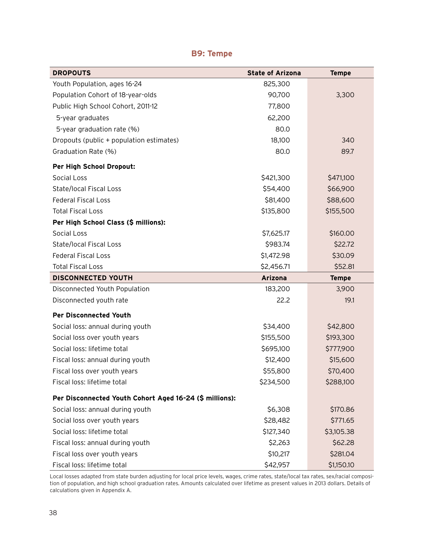| <b>DROPOUTS</b>                                         | <b>State of Arizona</b> | <b>Tempe</b> |
|---------------------------------------------------------|-------------------------|--------------|
| Youth Population, ages 16-24                            | 825,300                 |              |
| Population Cohort of 18-year-olds                       | 90,700                  | 3,300        |
| Public High School Cohort, 2011-12                      | 77,800                  |              |
| 5-year graduates                                        | 62,200                  |              |
| 5-year graduation rate (%)                              | 80.0                    |              |
| Dropouts (public + population estimates)                | 18,100                  | 340          |
| Graduation Rate (%)                                     | 80.0                    | 89.7         |
| Per High School Dropout:                                |                         |              |
| <b>Social Loss</b>                                      | \$421,300               | \$471,100    |
| <b>State/local Fiscal Loss</b>                          | \$54,400                | \$66,900     |
| <b>Federal Fiscal Loss</b>                              | \$81,400                | \$88,600     |
| <b>Total Fiscal Loss</b>                                | \$135,800               | \$155,500    |
| Per High School Class (\$ millions):                    |                         |              |
| <b>Social Loss</b>                                      | \$7,625.17              | \$160.00     |
| <b>State/local Fiscal Loss</b>                          | \$983.74                | \$22.72      |
| <b>Federal Fiscal Loss</b>                              | \$1,472.98              | \$30.09      |
| <b>Total Fiscal Loss</b>                                | \$2,456.71              | \$52.81      |
| <b>DISCONNECTED YOUTH</b>                               | <b>Arizona</b>          | <b>Tempe</b> |
| Disconnected Youth Population                           | 183,200                 | 3,900        |
| Disconnected youth rate                                 | 22.2                    | 19.1         |
| <b>Per Disconnected Youth</b>                           |                         |              |
| Social loss: annual during youth                        | \$34,400                | \$42,800     |
| Social loss over youth years                            | \$155,500               | \$193,300    |
| Social loss: lifetime total                             | \$695,100               | \$777,900    |
| Fiscal loss: annual during youth                        | \$12,400                | \$15,600     |
| Fiscal loss over youth years                            | \$55,800                | \$70,400     |
| Fiscal loss: lifetime total                             | \$234,500               | \$288,100    |
| Per Disconnected Youth Cohort Aged 16-24 (\$ millions): |                         |              |
| Social loss: annual during youth                        | \$6,308                 | \$170.86     |
| Social loss over youth years                            | \$28,482                | \$771.65     |
| Social loss: lifetime total                             | \$127,340               | \$3,105.38   |
| Fiscal loss: annual during youth                        | \$2,263                 | \$62.28      |
| Fiscal loss over youth years                            | \$10,217                | \$281.04     |
| Fiscal loss: lifetime total                             | \$42,957                | \$1,150.10   |

#### **B9: Tempe**